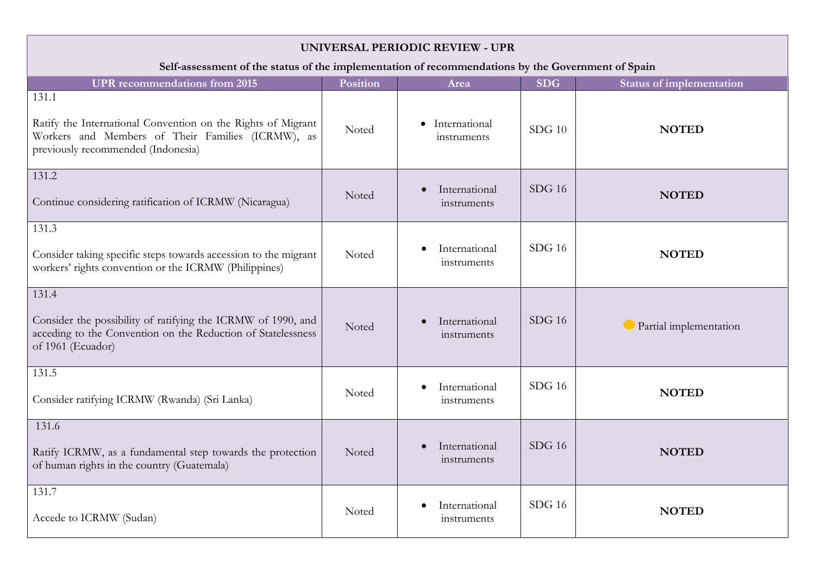| UNIVERSAL PERIODIC REVIEW - UPR                                                                                                                                  |          |                                           |               |                                 |
|------------------------------------------------------------------------------------------------------------------------------------------------------------------|----------|-------------------------------------------|---------------|---------------------------------|
| Self-assessment of the status of the implementation of recommendations by the Government of Spain                                                                |          |                                           |               |                                 |
| <b>UPR</b> recommendations from 2015                                                                                                                             | Position | Area                                      | <b>SDG</b>    | <b>Status of implementation</b> |
| 131.1<br>Ratify the International Convention on the Rights of Migrant<br>Workers and Members of Their Families (ICRMW), as<br>previously recommended (Indonesia) | Noted    | • International<br>instruments            | $SDG$ 10      | <b>NOTED</b>                    |
| 131.2<br>Continue considering ratification of ICRMW (Nicaragua)                                                                                                  | Noted    | International<br>$\bullet$<br>instruments | <b>SDG 16</b> | <b>NOTED</b>                    |
| 131.3<br>Consider taking specific steps towards accession to the migrant<br>workers' rights convention or the ICRMW (Philippines)                                | Noted    | International<br>instruments              | $SDG$ 16      | <b>NOTED</b>                    |
| 131.4<br>Consider the possibility of ratifying the ICRMW of 1990, and<br>acceding to the Convention on the Reduction of Statelessness<br>of 1961 (Ecuador)       | Noted    | International<br>instruments              | $SDG$ 16      | Partial implementation          |
| 131.5<br>Consider ratifying ICRMW (Rwanda) (Sri Lanka)                                                                                                           | Noted    | International<br>$\bullet$<br>instruments | $SDG$ 16      | <b>NOTED</b>                    |
| 131.6<br>Ratify ICRMW, as a fundamental step towards the protection<br>of human rights in the country (Guatemala)                                                | Noted    | International<br>instruments              | $SDG$ 16      | <b>NOTED</b>                    |
| 131.7<br>Accede to ICRMW (Sudan)                                                                                                                                 | Noted    | International<br>instruments              | $SDG$ 16      | <b>NOTED</b>                    |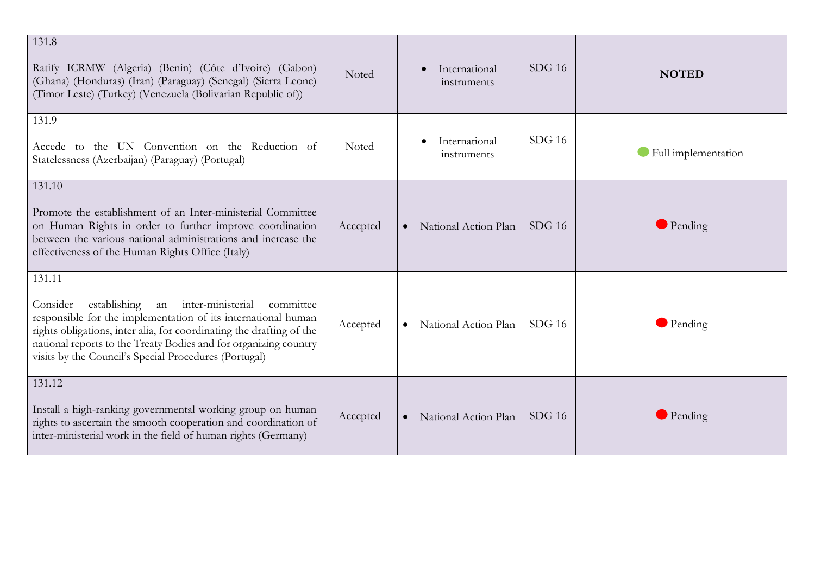| 131.8<br>Ratify ICRMW (Algeria) (Benin) (Côte d'Ivoire) (Gabon)<br>(Ghana) (Honduras) (Iran) (Paraguay) (Senegal) (Sierra Leone)<br>(Timor Leste) (Turkey) (Venezuela (Bolivarian Republic of))                                                                                                                                                  | Noted    | International<br>instruments      | $SDG$ 16 | <b>NOTED</b>           |
|--------------------------------------------------------------------------------------------------------------------------------------------------------------------------------------------------------------------------------------------------------------------------------------------------------------------------------------------------|----------|-----------------------------------|----------|------------------------|
| 131.9<br>Accede to the UN Convention on the Reduction of<br>Statelessness (Azerbaijan) (Paraguay) (Portugal)                                                                                                                                                                                                                                     | Noted    | International<br>instruments      | $SDG$ 16 | Full implementation    |
| 131.10<br>Promote the establishment of an Inter-ministerial Committee<br>on Human Rights in order to further improve coordination<br>between the various national administrations and increase the<br>effectiveness of the Human Rights Office (Italy)                                                                                           | Accepted | National Action Plan<br>$\bullet$ | $SDG$ 16 | Pending                |
| 131.11<br>inter-ministerial<br>Consider<br>establishing<br>an<br>committee<br>responsible for the implementation of its international human<br>rights obligations, inter alia, for coordinating the drafting of the<br>national reports to the Treaty Bodies and for organizing country<br>visits by the Council's Special Procedures (Portugal) | Accepted | National Action Plan<br>$\bullet$ | $SDG$ 16 | $\blacksquare$ Pending |
| 131.12<br>Install a high-ranking governmental working group on human<br>rights to ascertain the smooth cooperation and coordination of<br>inter-ministerial work in the field of human rights (Germany)                                                                                                                                          | Accepted | National Action Plan              | SDG16    | $\blacksquare$ Pending |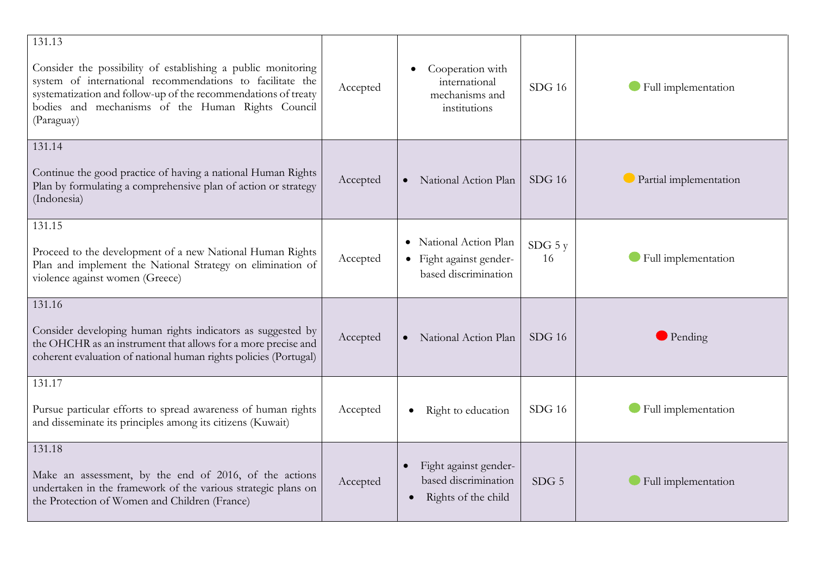| 131.13<br>Consider the possibility of establishing a public monitoring<br>system of international recommendations to facilitate the<br>systematization and follow-up of the recommendations of treaty<br>bodies and mechanisms of the Human Rights Council<br>(Paraguay) | Accepted | Cooperation with<br>international<br>mechanisms and<br>institutions                             | $SDG$ 16         | • Full implementation  |
|--------------------------------------------------------------------------------------------------------------------------------------------------------------------------------------------------------------------------------------------------------------------------|----------|-------------------------------------------------------------------------------------------------|------------------|------------------------|
| 131.14<br>Continue the good practice of having a national Human Rights<br>Plan by formulating a comprehensive plan of action or strategy<br>(Indonesia)                                                                                                                  | Accepted | National Action Plan<br>$\bullet$                                                               | $SDG$ 16         | Partial implementation |
| 131.15<br>Proceed to the development of a new National Human Rights<br>Plan and implement the National Strategy on elimination of<br>violence against women (Greece)                                                                                                     | Accepted | National Action Plan<br>$\bullet$<br>Fight against gender-<br>$\bullet$<br>based discrimination | $SDG$ 5 y<br>16  | Full implementation    |
| 131.16<br>Consider developing human rights indicators as suggested by<br>the OHCHR as an instrument that allows for a more precise and<br>coherent evaluation of national human rights policies (Portugal)                                                               | Accepted | National Action Plan                                                                            | $SDG$ 16         | $\blacksquare$ Pending |
| 131.17<br>Pursue particular efforts to spread awareness of human rights<br>and disseminate its principles among its citizens (Kuwait)                                                                                                                                    | Accepted | Right to education                                                                              | $SDG$ 16         | Full implementation    |
| 131.18<br>Make an assessment, by the end of 2016, of the actions<br>undertaken in the framework of the various strategic plans on<br>the Protection of Women and Children (France)                                                                                       | Accepted | Fight against gender-<br>based discrimination<br>Rights of the child<br>$\bullet$               | SDG <sub>5</sub> | Full implementation    |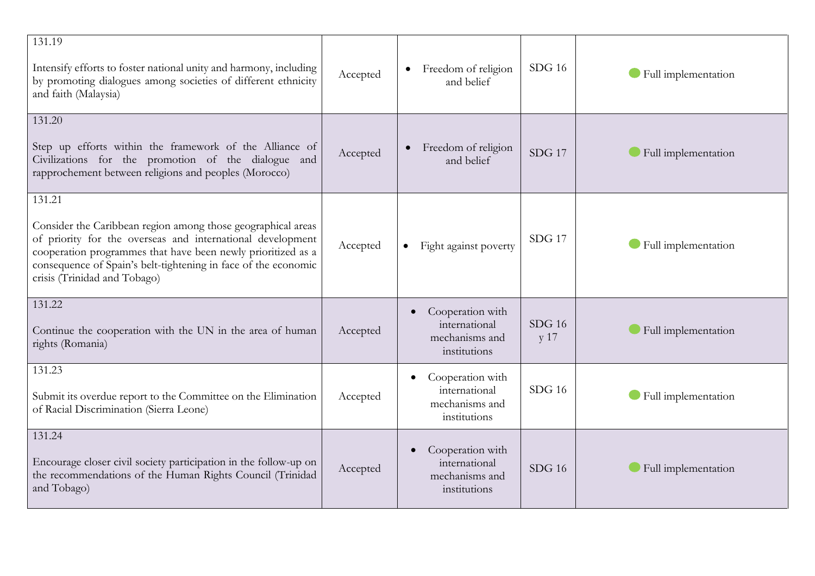| 131.19<br>Intensify efforts to foster national unity and harmony, including<br>by promoting dialogues among societies of different ethnicity<br>and faith (Malaysia)                                                                                                                                   | Accepted | Freedom of religion<br>$\bullet$<br>and belief                                   | $SDG$ 16         | Full implementation |
|--------------------------------------------------------------------------------------------------------------------------------------------------------------------------------------------------------------------------------------------------------------------------------------------------------|----------|----------------------------------------------------------------------------------|------------------|---------------------|
| 131.20<br>Step up efforts within the framework of the Alliance of<br>Civilizations for the promotion of the dialogue and<br>rapprochement between religions and peoples (Morocco)                                                                                                                      | Accepted | Freedom of religion<br>$\bullet$<br>and belief                                   | $SDG$ 17         | Full implementation |
| 131.21<br>Consider the Caribbean region among those geographical areas<br>of priority for the overseas and international development<br>cooperation programmes that have been newly prioritized as a<br>consequence of Spain's belt-tightening in face of the economic<br>crisis (Trinidad and Tobago) | Accepted | Fight against poverty                                                            | $SDG$ 17         | Full implementation |
| 131.22<br>Continue the cooperation with the UN in the area of human<br>rights (Romania)                                                                                                                                                                                                                | Accepted | Cooperation with<br>$\bullet$<br>international<br>mechanisms and<br>institutions | $SDG$ 16<br>y 17 | Full implementation |
| 131.23<br>Submit its overdue report to the Committee on the Elimination<br>of Racial Discrimination (Sierra Leone)                                                                                                                                                                                     | Accepted | Cooperation with<br>international<br>mechanisms and<br>institutions              | $SDG$ 16         | Full implementation |
| 131.24<br>Encourage closer civil society participation in the follow-up on<br>the recommendations of the Human Rights Council (Trinidad<br>and Tobago)                                                                                                                                                 | Accepted | Cooperation with<br>$\bullet$<br>international<br>mechanisms and<br>institutions | $SDG$ 16         | Full implementation |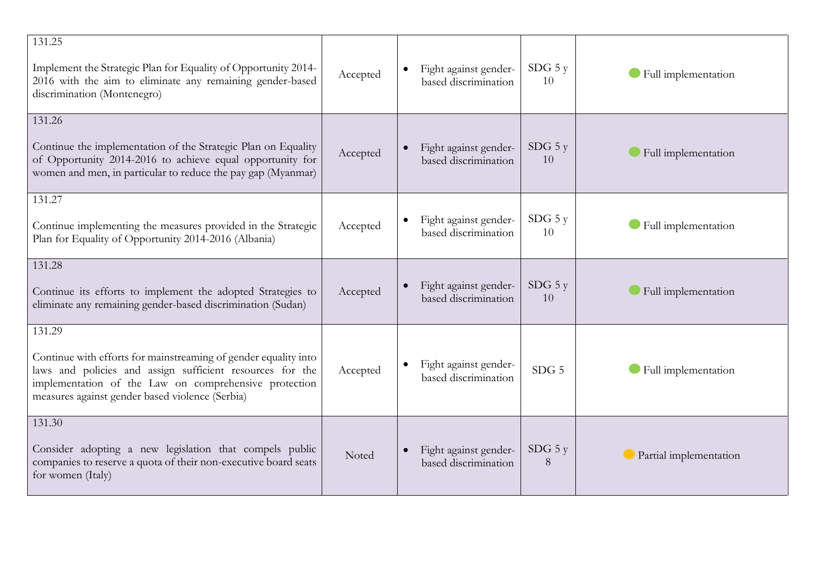| 131.25<br>Implement the Strategic Plan for Equality of Opportunity 2014-<br>2016 with the aim to eliminate any remaining gender-based<br>discrimination (Montenegro)                                                                               | Accepted | Fight against gender-<br>based discrimination | $SDG$ 5 y<br>10   | Full implementation           |
|----------------------------------------------------------------------------------------------------------------------------------------------------------------------------------------------------------------------------------------------------|----------|-----------------------------------------------|-------------------|-------------------------------|
| 131.26<br>Continue the implementation of the Strategic Plan on Equality<br>of Opportunity 2014-2016 to achieve equal opportunity for<br>women and men, in particular to reduce the pay gap (Myanmar)                                               | Accepted | Fight against gender-<br>based discrimination | $SDG$ 5 $y$<br>10 | Full implementation           |
| 131.27<br>Continue implementing the measures provided in the Strategic<br>Plan for Equality of Opportunity 2014-2016 (Albania)                                                                                                                     | Accepted | Fight against gender-<br>based discrimination | $SDG$ 5 y<br>10   | Full implementation           |
| 131.28<br>Continue its efforts to implement the adopted Strategies to<br>eliminate any remaining gender-based discrimination (Sudan)                                                                                                               | Accepted | Fight against gender-<br>based discrimination | $SDG$ 5 y<br>10   | Full implementation           |
| 131.29<br>Continue with efforts for mainstreaming of gender equality into<br>laws and policies and assign sufficient resources for the<br>implementation of the Law on comprehensive protection<br>measures against gender based violence (Serbia) | Accepted | Fight against gender-<br>based discrimination | SDG <sub>5</sub>  | Full implementation           |
| 131.30<br>Consider adopting a new legislation that compels public<br>companies to reserve a quota of their non-executive board seats<br>for women (Italy)                                                                                          | Noted    | Fight against gender-<br>based discrimination | $SDG$ 5 y<br>8    | $\Box$ Partial implementation |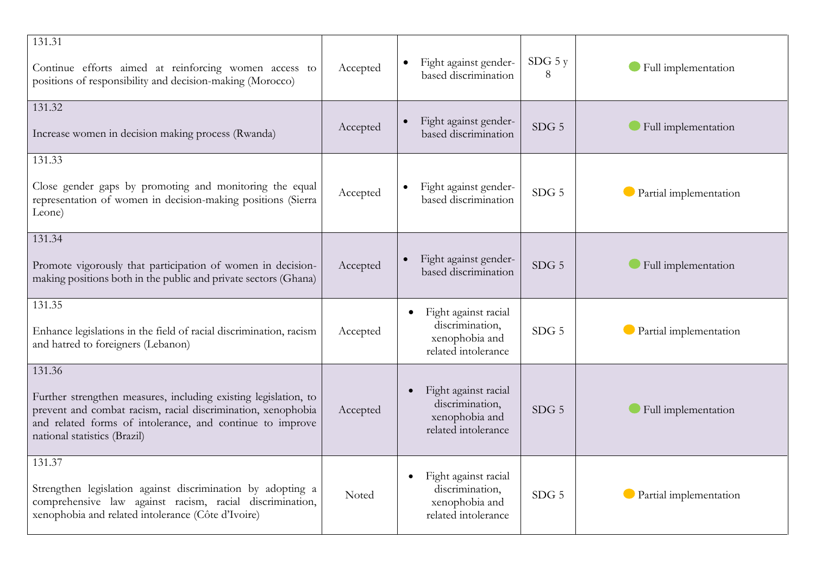| 131.31<br>Continue efforts aimed at reinforcing women access to<br>positions of responsibility and decision-making (Morocco)                                                                                                           | Accepted | Fight against gender-<br>based discrimination                                                 | $SDG$ 5 y<br>8   | • Full implementation  |
|----------------------------------------------------------------------------------------------------------------------------------------------------------------------------------------------------------------------------------------|----------|-----------------------------------------------------------------------------------------------|------------------|------------------------|
| 131.32<br>Increase women in decision making process (Rwanda)                                                                                                                                                                           | Accepted | Fight against gender-<br>based discrimination                                                 | SDG <sub>5</sub> | Full implementation    |
|                                                                                                                                                                                                                                        |          |                                                                                               |                  |                        |
| 131.33<br>Close gender gaps by promoting and monitoring the equal<br>representation of women in decision-making positions (Sierra<br>Leone)                                                                                            | Accepted | Fight against gender-<br>based discrimination                                                 | $SDG$ 5          | Partial implementation |
| 131.34<br>Promote vigorously that participation of women in decision-<br>making positions both in the public and private sectors (Ghana)                                                                                               | Accepted | Fight against gender-<br>based discrimination                                                 | SDG <sub>5</sub> | • Full implementation  |
| 131.35<br>Enhance legislations in the field of racial discrimination, racism<br>and hatred to foreigners (Lebanon)                                                                                                                     | Accepted | Fight against racial<br>$\bullet$<br>discrimination,<br>xenophobia and<br>related intolerance | $SDG$ 5          | Partial implementation |
| 131.36<br>Further strengthen measures, including existing legislation, to<br>prevent and combat racism, racial discrimination, xenophobia<br>and related forms of intolerance, and continue to improve<br>national statistics (Brazil) | Accepted | Fight against racial<br>discrimination,<br>xenophobia and<br>related intolerance              | SDG <sub>5</sub> | Full implementation    |
| 131.37<br>Strengthen legislation against discrimination by adopting a<br>comprehensive law against racism, racial discrimination,<br>xenophobia and related intolerance (Côte d'Ivoire)                                                | Noted    | Fight against racial<br>$\bullet$<br>discrimination,<br>xenophobia and<br>related intolerance | SDG <sub>5</sub> | Partial implementation |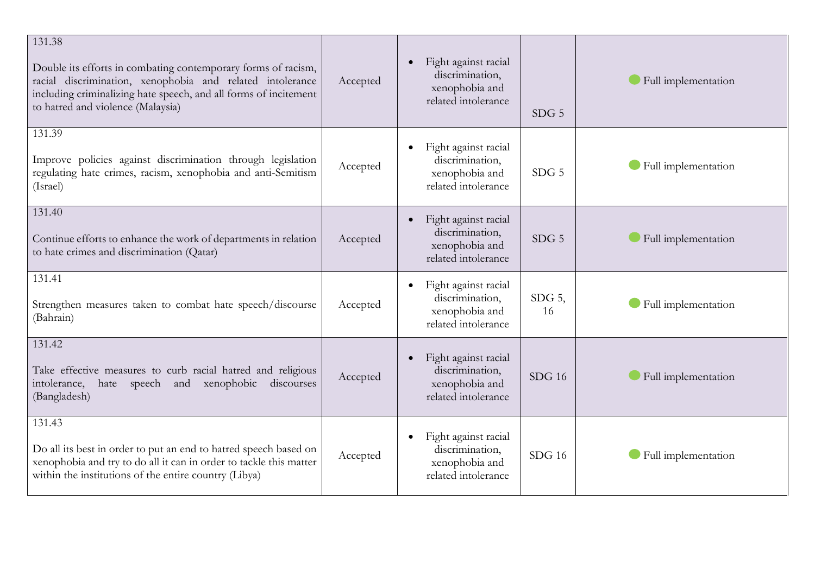| 131.38<br>Double its efforts in combating contemporary forms of racism,<br>racial discrimination, xenophobia and related intolerance<br>including criminalizing hate speech, and all forms of incitement<br>to hatred and violence (Malaysia) | Accepted | Fight against racial<br>$\bullet$<br>discrimination,<br>xenophobia and<br>related intolerance | SDG <sub>5</sub> | Full implementation |
|-----------------------------------------------------------------------------------------------------------------------------------------------------------------------------------------------------------------------------------------------|----------|-----------------------------------------------------------------------------------------------|------------------|---------------------|
| 131.39<br>Improve policies against discrimination through legislation<br>regulating hate crimes, racism, xenophobia and anti-Semitism<br>(Israel)                                                                                             | Accepted | Fight against racial<br>$\bullet$<br>discrimination,<br>xenophobia and<br>related intolerance | SDG <sub>5</sub> | Full implementation |
| 131.40<br>Continue efforts to enhance the work of departments in relation<br>to hate crimes and discrimination (Qatar)                                                                                                                        | Accepted | Fight against racial<br>$\bullet$<br>discrimination,<br>xenophobia and<br>related intolerance | SDG <sub>5</sub> | Full implementation |
| 131.41<br>Strengthen measures taken to combat hate speech/discourse<br>(Bahrain)                                                                                                                                                              | Accepted | Fight against racial<br>$\bullet$<br>discrimination,<br>xenophobia and<br>related intolerance | SDG $5$ ,<br>16  | Full implementation |
| 131.42<br>Take effective measures to curb racial hatred and religious<br>intolerance,<br>speech and xenophobic<br>discourses<br>hate<br>(Bangladesh)                                                                                          | Accepted | Fight against racial<br>$\bullet$<br>discrimination,<br>xenophobia and<br>related intolerance | $SDG$ 16         | Full implementation |
| 131.43<br>Do all its best in order to put an end to hatred speech based on<br>xenophobia and try to do all it can in order to tackle this matter<br>within the institutions of the entire country (Libya)                                     | Accepted | Fight against racial<br>$\bullet$<br>discrimination,<br>xenophobia and<br>related intolerance | $SDG$ 16         | Full implementation |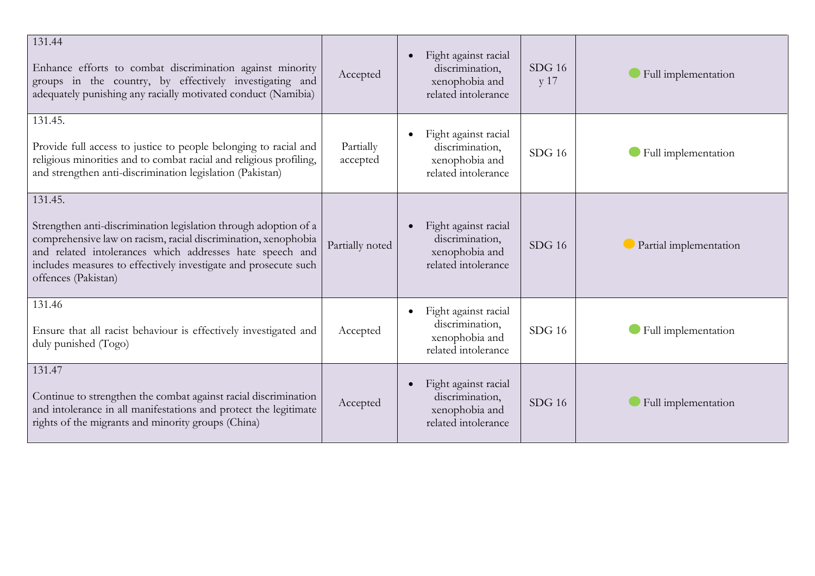| 131.44<br>Enhance efforts to combat discrimination against minority<br>groups in the country, by effectively investigating and<br>adequately punishing any racially motivated conduct (Namibia)                                                                                                     | Accepted              | Fight against racial<br>$\bullet$<br>discrimination,<br>xenophobia and<br>related intolerance | $SDG$ 16<br>y 17 | Full implementation    |
|-----------------------------------------------------------------------------------------------------------------------------------------------------------------------------------------------------------------------------------------------------------------------------------------------------|-----------------------|-----------------------------------------------------------------------------------------------|------------------|------------------------|
| 131.45.<br>Provide full access to justice to people belonging to racial and<br>religious minorities and to combat racial and religious profiling,<br>and strengthen anti-discrimination legislation (Pakistan)                                                                                      | Partially<br>accepted | Fight against racial<br>$\bullet$<br>discrimination,<br>xenophobia and<br>related intolerance | $SDG$ 16         | Full implementation    |
| 131.45.<br>Strengthen anti-discrimination legislation through adoption of a<br>comprehensive law on racism, racial discrimination, xenophobia<br>and related intolerances which addresses hate speech and<br>includes measures to effectively investigate and prosecute such<br>offences (Pakistan) | Partially noted       | Fight against racial<br>$\bullet$<br>discrimination,<br>xenophobia and<br>related intolerance | $SDG$ 16         | Partial implementation |
| 131.46<br>Ensure that all racist behaviour is effectively investigated and<br>duly punished (Togo)                                                                                                                                                                                                  | Accepted              | Fight against racial<br>$\bullet$<br>discrimination,<br>xenophobia and<br>related intolerance | $SDG$ 16         | Full implementation    |
| 131.47<br>Continue to strengthen the combat against racial discrimination<br>and intolerance in all manifestations and protect the legitimate<br>rights of the migrants and minority groups (China)                                                                                                 | Accepted              | Fight against racial<br>$\bullet$<br>discrimination,<br>xenophobia and<br>related intolerance | $SDG$ 16         | Full implementation    |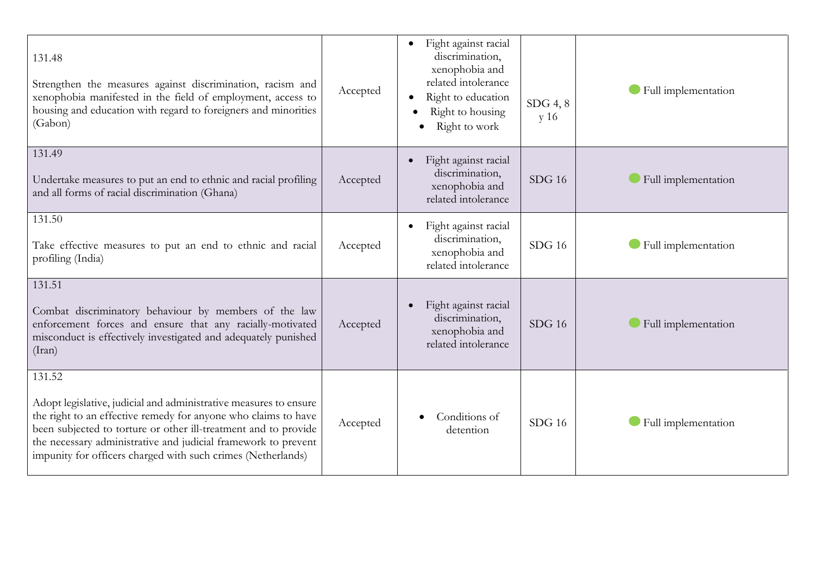| 131.48<br>Strengthen the measures against discrimination, racism and<br>xenophobia manifested in the field of employment, access to<br>housing and education with regard to foreigners and minorities<br>(Gabon)                                                                                                                                   | Accepted | Fight against racial<br>$\bullet$<br>discrimination,<br>xenophobia and<br>related intolerance<br>Right to education<br>Right to housing<br>Right to work | $SDG$ 4, 8<br>y 16 | Full implementation |
|----------------------------------------------------------------------------------------------------------------------------------------------------------------------------------------------------------------------------------------------------------------------------------------------------------------------------------------------------|----------|----------------------------------------------------------------------------------------------------------------------------------------------------------|--------------------|---------------------|
| 131.49<br>Undertake measures to put an end to ethnic and racial profiling<br>and all forms of racial discrimination (Ghana)                                                                                                                                                                                                                        | Accepted | Fight against racial<br>$\bullet$<br>discrimination,<br>xenophobia and<br>related intolerance                                                            | $SDG$ 16           | Full implementation |
| 131.50<br>Take effective measures to put an end to ethnic and racial<br>profiling (India)                                                                                                                                                                                                                                                          | Accepted | Fight against racial<br>$\bullet$<br>discrimination,<br>xenophobia and<br>related intolerance                                                            | $SDG$ 16           | Full implementation |
| 131.51<br>Combat discriminatory behaviour by members of the law<br>enforcement forces and ensure that any racially-motivated<br>misconduct is effectively investigated and adequately punished<br>(Iran)                                                                                                                                           | Accepted | Fight against racial<br>$\bullet$<br>discrimination,<br>xenophobia and<br>related intolerance                                                            | $SDG$ 16           | Full implementation |
| 131.52<br>Adopt legislative, judicial and administrative measures to ensure<br>the right to an effective remedy for anyone who claims to have<br>been subjected to torture or other ill-treatment and to provide<br>the necessary administrative and judicial framework to prevent<br>impunity for officers charged with such crimes (Netherlands) | Accepted | Conditions of<br>detention                                                                                                                               | SDG16              | Full implementation |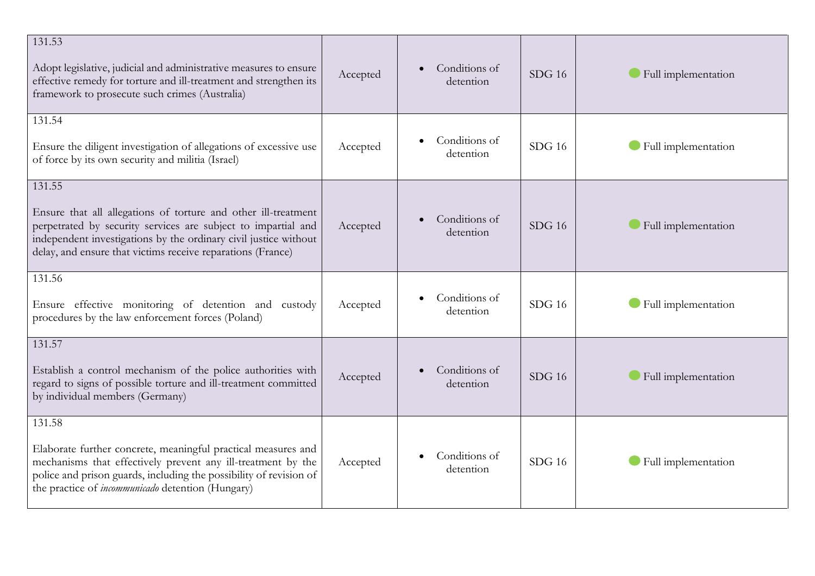| 131.53<br>Adopt legislative, judicial and administrative measures to ensure<br>effective remedy for torture and ill-treatment and strengthen its<br>framework to prosecute such crimes (Australia)                                                                           | Accepted | Conditions of<br>detention              | $SDG$ 16 | Full implementation |
|------------------------------------------------------------------------------------------------------------------------------------------------------------------------------------------------------------------------------------------------------------------------------|----------|-----------------------------------------|----------|---------------------|
| 131.54<br>Ensure the diligent investigation of allegations of excessive use<br>of force by its own security and militia (Israel)                                                                                                                                             | Accepted | Conditions of<br>$\bullet$<br>detention | $SDG$ 16 | Full implementation |
| 131.55<br>Ensure that all allegations of torture and other ill-treatment<br>perpetrated by security services are subject to impartial and<br>independent investigations by the ordinary civil justice without<br>delay, and ensure that victims receive reparations (France) | Accepted | Conditions of<br>detention              | $SDG$ 16 | Full implementation |
| 131.56<br>Ensure effective monitoring of detention and custody<br>procedures by the law enforcement forces (Poland)                                                                                                                                                          | Accepted | Conditions of<br>detention              | $SDG$ 16 | Full implementation |
| 131.57<br>Establish a control mechanism of the police authorities with<br>regard to signs of possible torture and ill-treatment committed<br>by individual members (Germany)                                                                                                 | Accepted | Conditions of<br>detention              | $SDG$ 16 | Full implementation |
| 131.58<br>Elaborate further concrete, meaningful practical measures and<br>mechanisms that effectively prevent any ill-treatment by the<br>police and prison guards, including the possibility of revision of<br>the practice of <i>incommunicado</i> detention (Hungary)    | Accepted | Conditions of<br>$\bullet$<br>detention | $SDG$ 16 | Full implementation |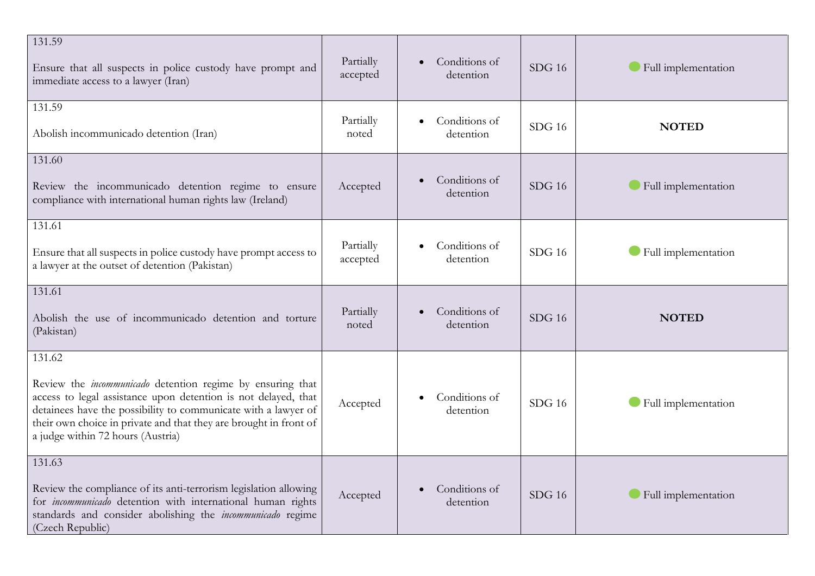| 131.59<br>Ensure that all suspects in police custody have prompt and<br>immediate access to a lawyer (Iran)                                                                                                                                                                                                               | Partially<br>accepted | Conditions of<br>$\bullet$<br>detention | $SDG$ 16      | Full implementation |
|---------------------------------------------------------------------------------------------------------------------------------------------------------------------------------------------------------------------------------------------------------------------------------------------------------------------------|-----------------------|-----------------------------------------|---------------|---------------------|
| 131.59<br>Abolish incommunicado detention (Iran)                                                                                                                                                                                                                                                                          | Partially<br>noted    | Conditions of<br>$\bullet$<br>detention | <b>SDG 16</b> | <b>NOTED</b>        |
| 131.60<br>Review the incommunicado detention regime to ensure<br>compliance with international human rights law (Ireland)                                                                                                                                                                                                 | Accepted              | Conditions of<br>detention              | $SDG$ 16      | Full implementation |
| 131.61<br>Ensure that all suspects in police custody have prompt access to<br>a lawyer at the outset of detention (Pakistan)                                                                                                                                                                                              | Partially<br>accepted | Conditions of<br>detention              | $SDG$ 16      | Full implementation |
| 131.61<br>Abolish the use of incommunicado detention and torture<br>(Pakistan)                                                                                                                                                                                                                                            | Partially<br>noted    | Conditions of<br>$\bullet$<br>detention | $SDG$ 16      | <b>NOTED</b>        |
| 131.62<br>Review the <i>incommunicado</i> detention regime by ensuring that<br>access to legal assistance upon detention is not delayed, that<br>detainees have the possibility to communicate with a lawyer of<br>their own choice in private and that they are brought in front of<br>a judge within 72 hours (Austria) | Accepted              | Conditions of<br>detention              | $SDG$ 16      | Full implementation |
| 131.63<br>Review the compliance of its anti-terrorism legislation allowing<br>for <i>incommunicado</i> detention with international human rights<br>standards and consider abolishing the <i>incommunicado</i> regime<br>(Czech Republic)                                                                                 | Accepted              | Conditions of<br>detention              | $SDG$ 16      | Full implementation |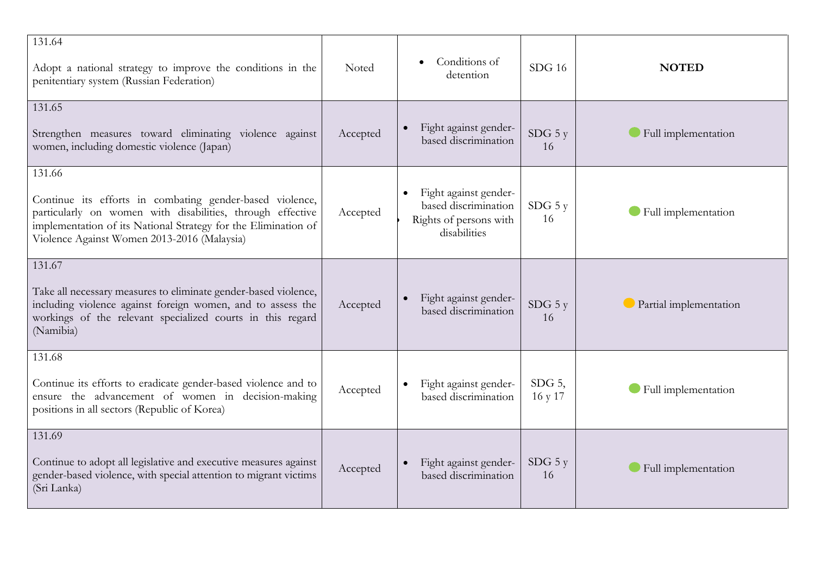| 131.64<br>Adopt a national strategy to improve the conditions in the<br>penitentiary system (Russian Federation)                                                                                                                                  | Noted    | Conditions of<br>detention                                                              | $SDG$ 16             | <b>NOTED</b>           |
|---------------------------------------------------------------------------------------------------------------------------------------------------------------------------------------------------------------------------------------------------|----------|-----------------------------------------------------------------------------------------|----------------------|------------------------|
| 131.65<br>Strengthen measures toward eliminating violence against<br>women, including domestic violence (Japan)                                                                                                                                   | Accepted | Fight against gender-<br>based discrimination                                           | $SDG$ 5 y<br>16      | Full implementation    |
| 131.66<br>Continue its efforts in combating gender-based violence,<br>particularly on women with disabilities, through effective<br>implementation of its National Strategy for the Elimination of<br>Violence Against Women 2013-2016 (Malaysia) | Accepted | Fight against gender-<br>based discrimination<br>Rights of persons with<br>disabilities | $SDG$ 5 y<br>16      | Full implementation    |
| 131.67<br>Take all necessary measures to eliminate gender-based violence,<br>including violence against foreign women, and to assess the<br>workings of the relevant specialized courts in this regard<br>(Namibia)                               | Accepted | Fight against gender-<br>based discrimination                                           | $SDG$ 5 y<br>16      | Partial implementation |
| 131.68<br>Continue its efforts to eradicate gender-based violence and to<br>ensure the advancement of women in decision-making<br>positions in all sectors (Republic of Korea)                                                                    | Accepted | Fight against gender-<br>based discrimination                                           | SDG $5$ ,<br>16 y 17 | Full implementation    |
| 131.69<br>Continue to adopt all legislative and executive measures against<br>gender-based violence, with special attention to migrant victims<br>(Sri Lanka)                                                                                     | Accepted | Fight against gender-<br>based discrimination                                           | $SDG$ 5 $y$<br>16    | Full implementation    |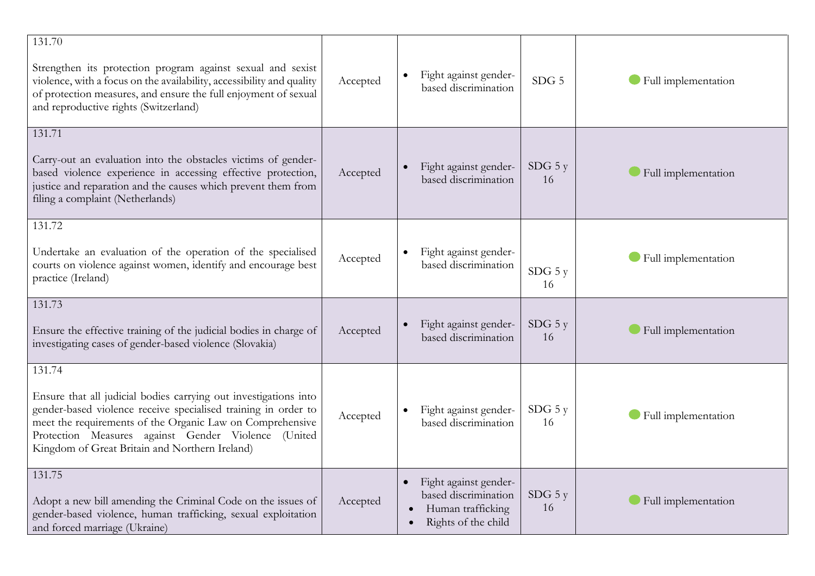| 131.70<br>Strengthen its protection program against sexual and sexist<br>violence, with a focus on the availability, accessibility and quality<br>of protection measures, and ensure the full enjoyment of sexual<br>and reproductive rights (Switzerland)                                                         | Accepted |           | Fight against gender-<br>based discrimination                                             | SDG <sub>5</sub>  | Full implementation |
|--------------------------------------------------------------------------------------------------------------------------------------------------------------------------------------------------------------------------------------------------------------------------------------------------------------------|----------|-----------|-------------------------------------------------------------------------------------------|-------------------|---------------------|
| 131.71<br>Carry-out an evaluation into the obstacles victims of gender-<br>based violence experience in accessing effective protection,<br>justice and reparation and the causes which prevent them from<br>filing a complaint (Netherlands)                                                                       | Accepted |           | Fight against gender-<br>based discrimination                                             | $SDG$ 5 y<br>16   | Full implementation |
| 131.72<br>Undertake an evaluation of the operation of the specialised<br>courts on violence against women, identify and encourage best<br>practice (Ireland)                                                                                                                                                       | Accepted |           | Fight against gender-<br>based discrimination                                             | $SDG$ 5 $y$<br>16 | Full implementation |
| 131.73<br>Ensure the effective training of the judicial bodies in charge of<br>investigating cases of gender-based violence (Slovakia)                                                                                                                                                                             | Accepted |           | Fight against gender-<br>based discrimination                                             | $SDG$ 5 y<br>16   | Full implementation |
| 131.74<br>Ensure that all judicial bodies carrying out investigations into<br>gender-based violence receive specialised training in order to<br>meet the requirements of the Organic Law on Comprehensive<br>Protection Measures against Gender Violence (United<br>Kingdom of Great Britain and Northern Ireland) | Accepted |           | Fight against gender-<br>based discrimination                                             | $SDG$ 5 y<br>16   | Full implementation |
| 131.75<br>Adopt a new bill amending the Criminal Code on the issues of<br>gender-based violence, human trafficking, sexual exploitation<br>and forced marriage (Ukraine)                                                                                                                                           | Accepted | $\bullet$ | Fight against gender-<br>based discrimination<br>Human trafficking<br>Rights of the child | $SDG$ 5 y<br>16   | Full implementation |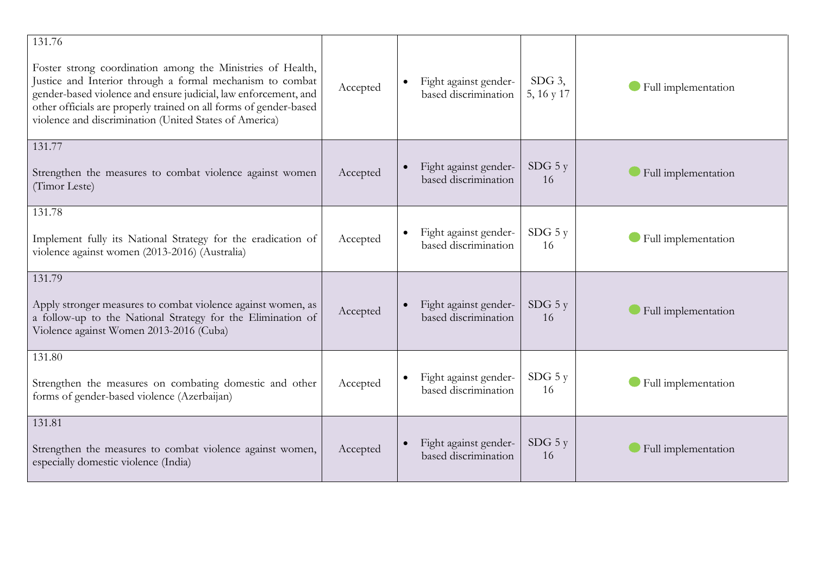| 131.76                                                                                                                                                                                                                                                                                                                    |          |                                               |                        |                     |
|---------------------------------------------------------------------------------------------------------------------------------------------------------------------------------------------------------------------------------------------------------------------------------------------------------------------------|----------|-----------------------------------------------|------------------------|---------------------|
| Foster strong coordination among the Ministries of Health,<br>Justice and Interior through a formal mechanism to combat<br>gender-based violence and ensure judicial, law enforcement, and<br>other officials are properly trained on all forms of gender-based<br>violence and discrimination (United States of America) | Accepted | Fight against gender-<br>based discrimination | $SDG$ 3,<br>5, 16 y 17 | Full implementation |
| 131.77<br>Strengthen the measures to combat violence against women<br>(Timor Leste)                                                                                                                                                                                                                                       | Accepted | Fight against gender-<br>based discrimination | $SDG$ 5 y<br>16        | Full implementation |
| 131.78<br>Implement fully its National Strategy for the eradication of<br>violence against women (2013-2016) (Australia)                                                                                                                                                                                                  | Accepted | Fight against gender-<br>based discrimination | $SDG$ 5 y<br>16        | Full implementation |
| 131.79<br>Apply stronger measures to combat violence against women, as<br>a follow-up to the National Strategy for the Elimination of<br>Violence against Women 2013-2016 (Cuba)                                                                                                                                          | Accepted | Fight against gender-<br>based discrimination | $SDG$ 5 $y$<br>16      | Full implementation |
| 131.80<br>Strengthen the measures on combating domestic and other<br>forms of gender-based violence (Azerbaijan)                                                                                                                                                                                                          | Accepted | Fight against gender-<br>based discrimination | $SDG$ 5 y<br>16        | Full implementation |
| 131.81<br>Strengthen the measures to combat violence against women,<br>especially domestic violence (India)                                                                                                                                                                                                               | Accepted | Fight against gender-<br>based discrimination | $SDG$ 5 y<br>16        | Full implementation |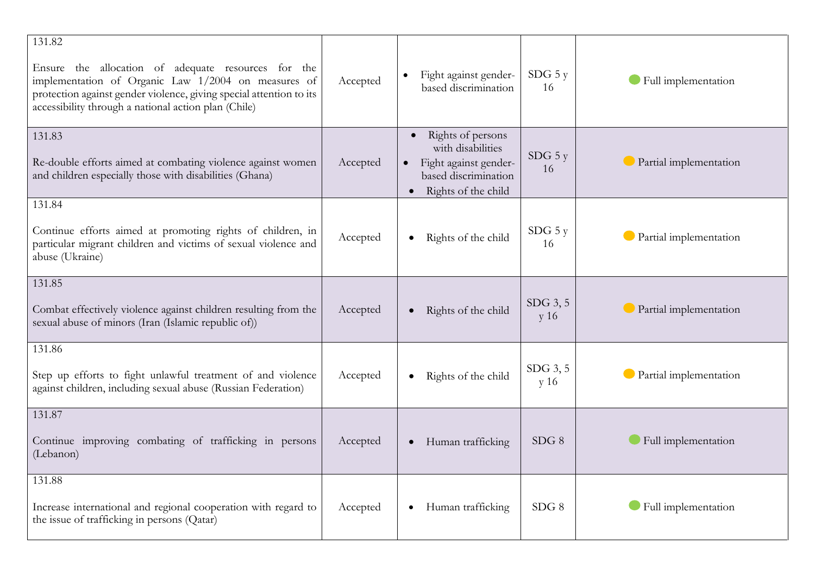| 131.82<br>Ensure the allocation of adequate resources for the<br>implementation of Organic Law 1/2004 on measures of<br>protection against gender violence, giving special attention to its<br>accessibility through a national action plan (Chile) | Accepted | Fight against gender-<br>based discrimination                                                                  | $SDG$ 5 $y$<br>16  | Full implementation           |
|-----------------------------------------------------------------------------------------------------------------------------------------------------------------------------------------------------------------------------------------------------|----------|----------------------------------------------------------------------------------------------------------------|--------------------|-------------------------------|
| 131.83<br>Re-double efforts aimed at combating violence against women<br>and children especially those with disabilities (Ghana)                                                                                                                    | Accepted | Rights of persons<br>with disabilities<br>Fight against gender-<br>based discrimination<br>Rights of the child | $SDG$ 5 y<br>16    | Partial implementation        |
| 131.84<br>Continue efforts aimed at promoting rights of children, in<br>particular migrant children and victims of sexual violence and<br>abuse (Ukraine)                                                                                           | Accepted | Rights of the child                                                                                            | $SDG$ 5 y<br>-16   | Partial implementation        |
| 131.85<br>Combat effectively violence against children resulting from the<br>sexual abuse of minors (Iran (Islamic republic of))                                                                                                                    | Accepted | Rights of the child                                                                                            | $SDG$ 3, 5<br>y 16 | Partial implementation        |
| 131.86<br>Step up efforts to fight unlawful treatment of and violence<br>against children, including sexual abuse (Russian Federation)                                                                                                              | Accepted | Rights of the child                                                                                            | $SDG$ 3, 5<br>y 16 | $\Box$ Partial implementation |
| 131.87<br>Continue improving combating of trafficking in persons<br>(Lebanon)                                                                                                                                                                       | Accepted | Human trafficking                                                                                              | SDG 8              | Full implementation           |
| 131.88<br>Increase international and regional cooperation with regard to<br>the issue of trafficking in persons (Qatar)                                                                                                                             | Accepted | Human trafficking<br>$\bullet$                                                                                 | SDG 8              | Full implementation           |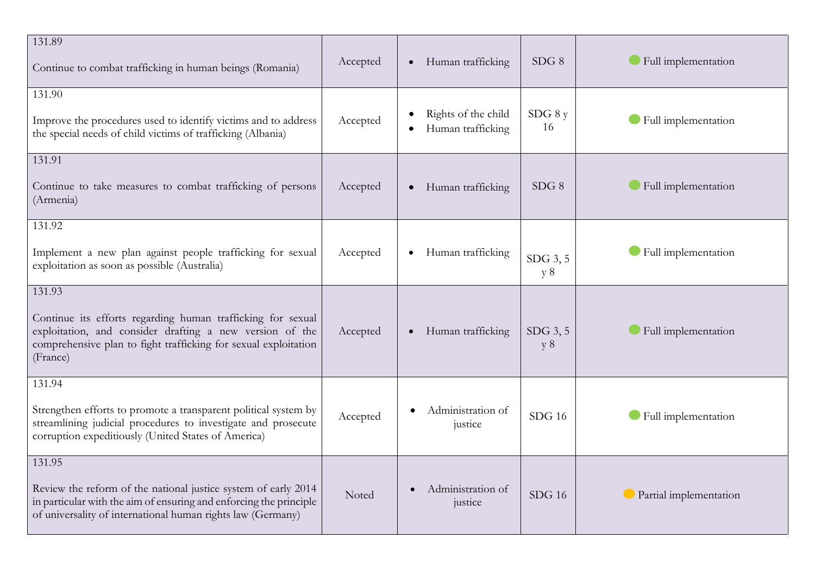| 131.89<br>Continue to combat trafficking in human beings (Romania)                                                                                                                                               | Accepted | Human trafficking<br>$\bullet$           | SDG 8             | Full implementation    |
|------------------------------------------------------------------------------------------------------------------------------------------------------------------------------------------------------------------|----------|------------------------------------------|-------------------|------------------------|
| 131.90<br>Improve the procedures used to identify victims and to address<br>the special needs of child victims of trafficking (Albania)                                                                          | Accepted | Rights of the child<br>Human trafficking | $SDG_8$ y<br>16   | Full implementation    |
| 131.91<br>Continue to take measures to combat trafficking of persons<br>(Armenia)                                                                                                                                | Accepted | Human trafficking<br>$\bullet$           | SDG 8             | Full implementation    |
| 131.92<br>Implement a new plan against people trafficking for sexual<br>exploitation as soon as possible (Australia)                                                                                             | Accepted | Human trafficking<br>$\bullet$           | SDG $3, 5$<br>y 8 | Full implementation    |
| 131.93<br>Continue its efforts regarding human trafficking for sexual<br>exploitation, and consider drafting a new version of the<br>comprehensive plan to fight trafficking for sexual exploitation<br>(France) | Accepted | Human trafficking<br>$\bullet$           | $SDG$ 3, 5<br>y 8 | Full implementation    |
| 131.94<br>Strengthen efforts to promote a transparent political system by<br>streamlining judicial procedures to investigate and prosecute<br>corruption expeditiously (United States of America)                | Accepted | Administration of<br>justice             | $SDG$ 16          | Full implementation    |
| 131.95<br>Review the reform of the national justice system of early 2014<br>in particular with the aim of ensuring and enforcing the principle<br>of universality of international human rights law (Germany)    | Noted    | Administration of<br>justice             | $SDG$ 16          | Partial implementation |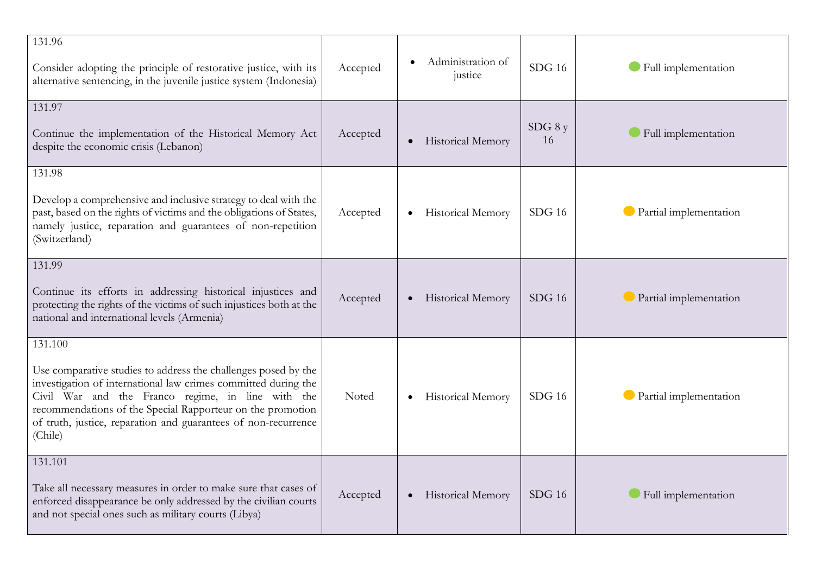| 131.96<br>Consider adopting the principle of restorative justice, with its<br>alternative sentencing, in the juvenile justice system (Indonesia)                                                                                                                                                                                 | Accepted | Administration of<br>justice   | <b>SDG 16</b>   | • Full implementation  |
|----------------------------------------------------------------------------------------------------------------------------------------------------------------------------------------------------------------------------------------------------------------------------------------------------------------------------------|----------|--------------------------------|-----------------|------------------------|
| 131.97                                                                                                                                                                                                                                                                                                                           |          |                                |                 |                        |
| Continue the implementation of the Historical Memory Act<br>despite the economic crisis (Lebanon)                                                                                                                                                                                                                                | Accepted | Historical Memory<br>$\bullet$ | $SDG_8$ y<br>16 | Full implementation    |
| 131.98                                                                                                                                                                                                                                                                                                                           |          |                                |                 |                        |
| Develop a comprehensive and inclusive strategy to deal with the<br>past, based on the rights of victims and the obligations of States,<br>namely justice, reparation and guarantees of non-repetition<br>(Switzerland)                                                                                                           | Accepted | Historical Memory<br>$\bullet$ | $SDG$ 16        | Partial implementation |
| 131.99                                                                                                                                                                                                                                                                                                                           |          |                                |                 |                        |
| Continue its efforts in addressing historical injustices and<br>protecting the rights of the victims of such injustices both at the<br>national and international levels (Armenia)                                                                                                                                               | Accepted | Historical Memory<br>$\bullet$ | $SDG$ 16        | Partial implementation |
| 131.100                                                                                                                                                                                                                                                                                                                          |          |                                |                 |                        |
| Use comparative studies to address the challenges posed by the<br>investigation of international law crimes committed during the<br>Civil War and the Franco regime, in line with the<br>recommendations of the Special Rapporteur on the promotion<br>of truth, justice, reparation and guarantees of non-recurrence<br>(Chile) | Noted    | Historical Memory<br>$\bullet$ | $SDG$ 16        | Partial implementation |
| 131.101                                                                                                                                                                                                                                                                                                                          |          |                                |                 |                        |
| Take all necessary measures in order to make sure that cases of<br>enforced disappearance be only addressed by the civilian courts<br>and not special ones such as military courts (Libya)                                                                                                                                       | Accepted | Historical Memory<br>$\bullet$ | <b>SDG 16</b>   | Full implementation    |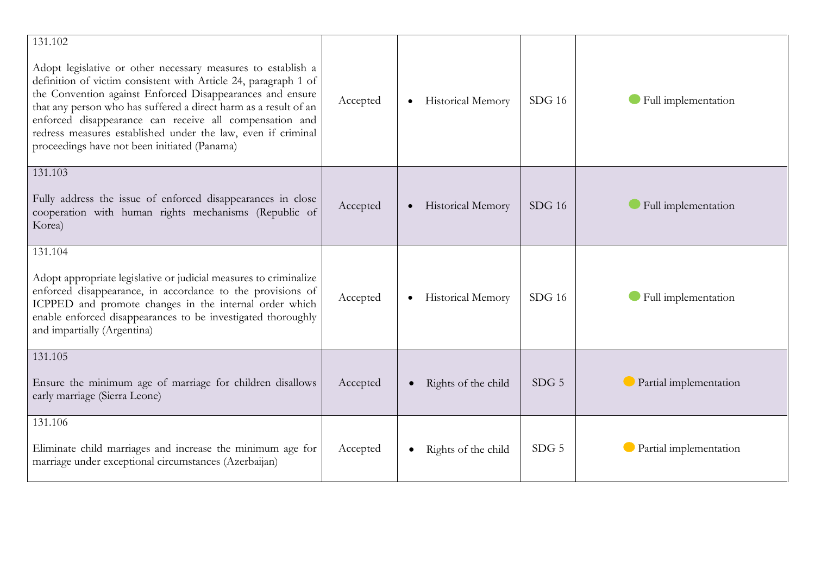| 131.102<br>Adopt legislative or other necessary measures to establish a<br>definition of victim consistent with Article 24, paragraph 1 of<br>the Convention against Enforced Disappearances and ensure<br>that any person who has suffered a direct harm as a result of an<br>enforced disappearance can receive all compensation and<br>redress measures established under the law, even if criminal<br>proceedings have not been initiated (Panama) | Accepted | Historical Memory<br>$\bullet$   | $SDG$ 16         | Full implementation           |
|--------------------------------------------------------------------------------------------------------------------------------------------------------------------------------------------------------------------------------------------------------------------------------------------------------------------------------------------------------------------------------------------------------------------------------------------------------|----------|----------------------------------|------------------|-------------------------------|
| 131.103<br>Fully address the issue of enforced disappearances in close<br>cooperation with human rights mechanisms (Republic of<br>Korea)                                                                                                                                                                                                                                                                                                              | Accepted | Historical Memory<br>$\bullet$   | $SDG$ 16         | Full implementation           |
| 131.104<br>Adopt appropriate legislative or judicial measures to criminalize<br>enforced disappearance, in accordance to the provisions of<br>ICPPED and promote changes in the internal order which<br>enable enforced disappearances to be investigated thoroughly<br>and impartially (Argentina)                                                                                                                                                    | Accepted | Historical Memory<br>$\bullet$   | $SDG$ 16         | Full implementation           |
| 131.105<br>Ensure the minimum age of marriage for children disallows<br>early marriage (Sierra Leone)                                                                                                                                                                                                                                                                                                                                                  | Accepted | Rights of the child<br>$\bullet$ | SDG <sub>5</sub> | $\Box$ Partial implementation |
| 131.106<br>Eliminate child marriages and increase the minimum age for<br>marriage under exceptional circumstances (Azerbaijan)                                                                                                                                                                                                                                                                                                                         | Accepted | Rights of the child<br>$\bullet$ | SDG <sub>5</sub> | Partial implementation        |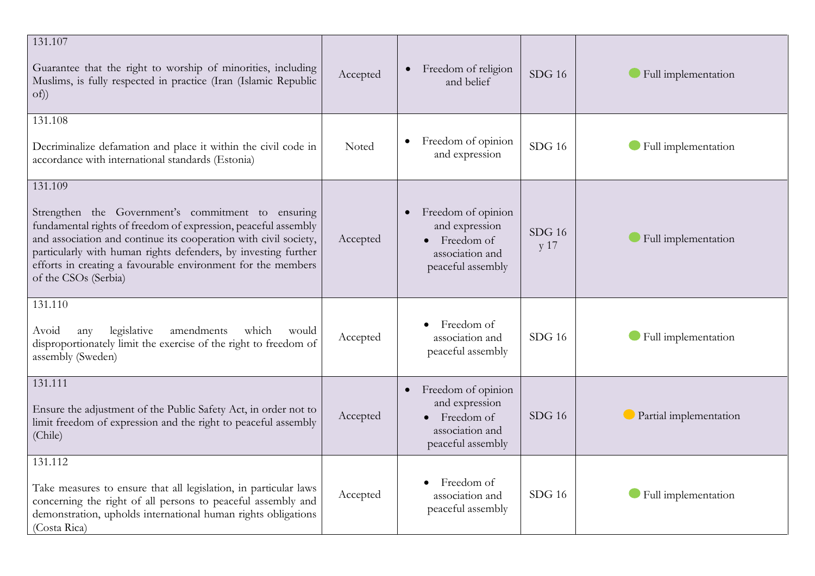| 131.107<br>Guarantee that the right to worship of minorities, including<br>Muslims, is fully respected in practice (Iran (Islamic Republic<br>of)                                                                                                                                                                                                             | Accepted | Freedom of religion<br>$\bullet$<br>and belief                                                          | $SDG$ 16         | Full implementation           |
|---------------------------------------------------------------------------------------------------------------------------------------------------------------------------------------------------------------------------------------------------------------------------------------------------------------------------------------------------------------|----------|---------------------------------------------------------------------------------------------------------|------------------|-------------------------------|
| 131.108<br>Decriminalize defamation and place it within the civil code in<br>accordance with international standards (Estonia)                                                                                                                                                                                                                                | Noted    | Freedom of opinion<br>$\bullet$<br>and expression                                                       | <b>SDG 16</b>    | • Full implementation         |
| 131.109<br>Strengthen the Government's commitment to ensuring<br>fundamental rights of freedom of expression, peaceful assembly<br>and association and continue its cooperation with civil society,<br>particularly with human rights defenders, by investing further<br>efforts in creating a favourable environment for the members<br>of the CSOs (Serbia) | Accepted | Freedom of opinion<br>and expression<br>Freedom of<br>association and<br>peaceful assembly              | $SDG$ 16<br>y 17 | Full implementation           |
| 131.110<br>legislative<br>amendments<br>which<br>Avoid<br>would<br>any<br>disproportionately limit the exercise of the right to freedom of<br>assembly (Sweden)                                                                                                                                                                                               | Accepted | Freedom of<br>association and<br>peaceful assembly                                                      | $SDG$ 16         | Full implementation           |
| 131.111<br>Ensure the adjustment of the Public Safety Act, in order not to<br>limit freedom of expression and the right to peaceful assembly<br>(Chile)                                                                                                                                                                                                       | Accepted | Freedom of opinion<br>$\bullet$<br>and expression<br>Freedom of<br>association and<br>peaceful assembly | $SDG$ 16         | $\Box$ Partial implementation |
| 131.112<br>Take measures to ensure that all legislation, in particular laws<br>concerning the right of all persons to peaceful assembly and<br>demonstration, upholds international human rights obligations<br>(Costa Rica)                                                                                                                                  | Accepted | Freedom of<br>association and<br>peaceful assembly                                                      | $SDG$ 16         | • Full implementation         |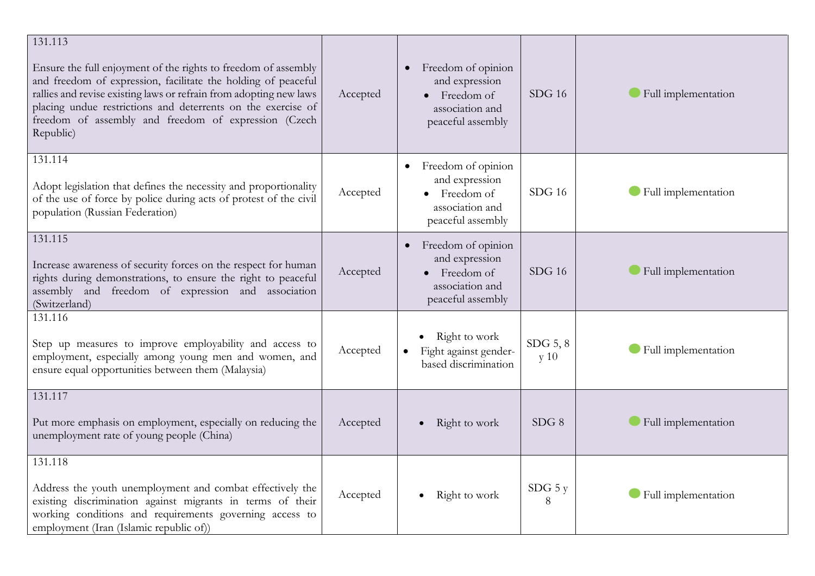| 131.113<br>Ensure the full enjoyment of the rights to freedom of assembly<br>and freedom of expression, facilitate the holding of peaceful<br>rallies and revise existing laws or refrain from adopting new laws<br>placing undue restrictions and deterrents on the exercise of<br>freedom of assembly and freedom of expression (Czech<br>Republic) | Accepted | Freedom of opinion<br>$\bullet$<br>and expression<br>Freedom of<br>association and<br>peaceful assembly           | $SDG$ 16           | Full implementation   |
|-------------------------------------------------------------------------------------------------------------------------------------------------------------------------------------------------------------------------------------------------------------------------------------------------------------------------------------------------------|----------|-------------------------------------------------------------------------------------------------------------------|--------------------|-----------------------|
| 131.114<br>Adopt legislation that defines the necessity and proportionality<br>of the use of force by police during acts of protest of the civil<br>population (Russian Federation)                                                                                                                                                                   | Accepted | Freedom of opinion<br>$\bullet$<br>and expression<br>$\bullet$ Freedom of<br>association and<br>peaceful assembly | $SDG$ 16           | Full implementation   |
| 131.115<br>Increase awareness of security forces on the respect for human<br>rights during demonstrations, to ensure the right to peaceful<br>assembly and freedom of expression and association<br>(Switzerland)                                                                                                                                     | Accepted | Freedom of opinion<br>and expression<br>• Freedom of<br>association and<br>peaceful assembly                      | $SDG$ 16           | Full implementation   |
| 131.116<br>Step up measures to improve employability and access to<br>employment, especially among young men and women, and<br>ensure equal opportunities between them (Malaysia)                                                                                                                                                                     | Accepted | Right to work<br>$\bullet$<br>Fight against gender-<br>based discrimination                                       | SDG $5, 8$<br>y 10 | Full implementation   |
| 131.117<br>Put more emphasis on employment, especially on reducing the<br>unemployment rate of young people (China)                                                                                                                                                                                                                                   | Accepted | Right to work<br>$\bullet$                                                                                        | SDG 8              | Full implementation   |
| 131.118<br>Address the youth unemployment and combat effectively the<br>existing discrimination against migrants in terms of their<br>working conditions and requirements governing access to<br>employment (Iran (Islamic republic of))                                                                                                              | Accepted | Right to work<br>$\bullet$                                                                                        | $SDG$ 5 $y$<br>8   | • Full implementation |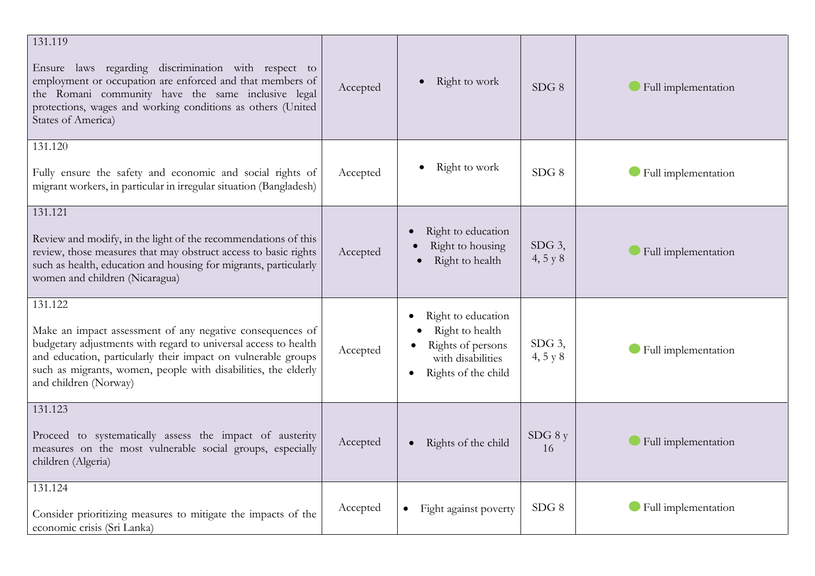| 131.119<br>Ensure laws regarding discrimination with respect to<br>employment or occupation are enforced and that members of<br>the Romani community have the same inclusive legal<br>protections, wages and working conditions as others (United<br><b>States of America)</b>                      | Accepted | Right to work<br>$\bullet$                                                                                                       | SDG 8                | Full implementation   |
|-----------------------------------------------------------------------------------------------------------------------------------------------------------------------------------------------------------------------------------------------------------------------------------------------------|----------|----------------------------------------------------------------------------------------------------------------------------------|----------------------|-----------------------|
| 131.120<br>Fully ensure the safety and economic and social rights of<br>migrant workers, in particular in irregular situation (Bangladesh)                                                                                                                                                          | Accepted | Right to work<br>$\bullet$                                                                                                       | SDG 8                | • Full implementation |
| 131.121<br>Review and modify, in the light of the recommendations of this<br>review, those measures that may obstruct access to basic rights<br>such as health, education and housing for migrants, particularly<br>women and children (Nicaragua)                                                  | Accepted | Right to education<br>Right to housing<br>Right to health                                                                        | $SDG$ 3,<br>4, 5 y 8 | Full implementation   |
| 131.122<br>Make an impact assessment of any negative consequences of<br>budgetary adjustments with regard to universal access to health<br>and education, particularly their impact on vulnerable groups<br>such as migrants, women, people with disabilities, the elderly<br>and children (Norway) | Accepted | Right to education<br>$\bullet$<br>Right to health<br>Rights of persons<br>with disabilities<br>Rights of the child<br>$\bullet$ | $SDG$ 3,<br>4, 5 y 8 | Full implementation   |
| 131.123<br>Proceed to systematically assess the impact of austerity<br>measures on the most vulnerable social groups, especially<br>children (Algeria)                                                                                                                                              | Accepted | Rights of the child                                                                                                              | SDG 8 y<br>16        | Full implementation   |
| 131.124<br>Consider prioritizing measures to mitigate the impacts of the<br>economic crisis (Sri Lanka)                                                                                                                                                                                             | Accepted | Fight against poverty<br>$\bullet$                                                                                               | SDG 8                | • Full implementation |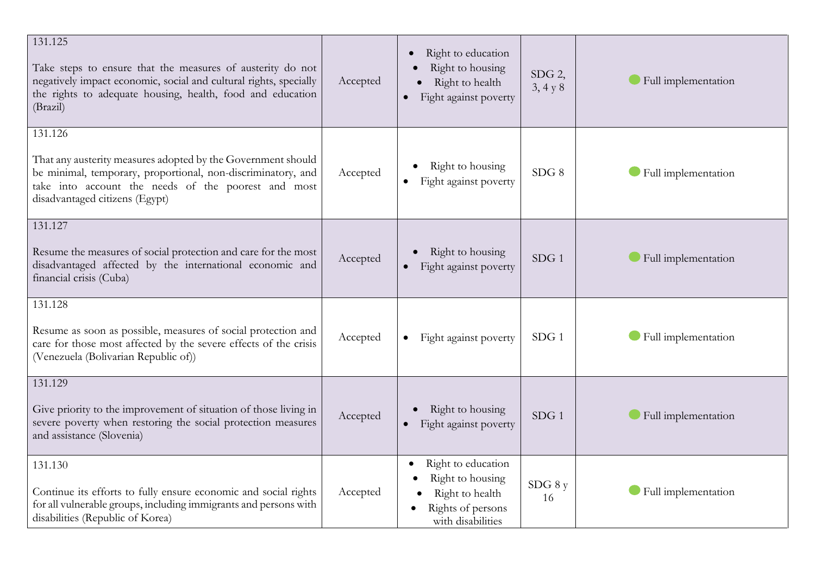| 131.125<br>Take steps to ensure that the measures of austerity do not<br>negatively impact economic, social and cultural rights, specially<br>the rights to adequate housing, health, food and education<br>(Brazil)             | Accepted | Right to education<br>Right to housing<br>Right to health<br>Fight against poverty                               | $SDG$ 2,<br>3, 4y8 | Full implementation |
|----------------------------------------------------------------------------------------------------------------------------------------------------------------------------------------------------------------------------------|----------|------------------------------------------------------------------------------------------------------------------|--------------------|---------------------|
| 131.126<br>That any austerity measures adopted by the Government should<br>be minimal, temporary, proportional, non-discriminatory, and<br>take into account the needs of the poorest and most<br>disadvantaged citizens (Egypt) | Accepted | Right to housing<br>Fight against poverty                                                                        | SDG 8              | Full implementation |
| 131.127<br>Resume the measures of social protection and care for the most<br>disadvantaged affected by the international economic and<br>financial crisis (Cuba)                                                                 | Accepted | Right to housing<br>Fight against poverty                                                                        | SDG <sub>1</sub>   | Full implementation |
| 131.128<br>Resume as soon as possible, measures of social protection and<br>care for those most affected by the severe effects of the crisis<br>(Venezuela (Bolivarian Republic of))                                             | Accepted | Fight against poverty<br>$\bullet$                                                                               | SDG1               | Full implementation |
| 131.129<br>Give priority to the improvement of situation of those living in<br>severe poverty when restoring the social protection measures<br>and assistance (Slovenia)                                                         | Accepted | Right to housing<br>Fight against poverty                                                                        | SDG1               | Full implementation |
| 131.130<br>Continue its efforts to fully ensure economic and social rights<br>for all vulnerable groups, including immigrants and persons with<br>disabilities (Republic of Korea)                                               | Accepted | Right to education<br>$\bullet$<br>Right to housing<br>Right to health<br>Rights of persons<br>with disabilities | $SDG_8$ y<br>16    | Full implementation |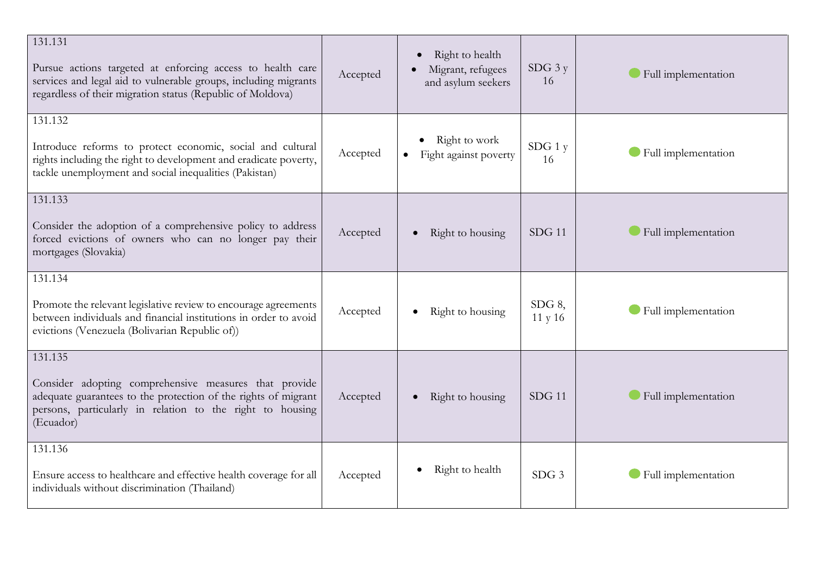| 131.131<br>Pursue actions targeted at enforcing access to health care<br>services and legal aid to vulnerable groups, including migrants<br>regardless of their migration status (Republic of Moldova)       | Accepted | Right to health<br>$\bullet$<br>Migrant, refugees<br>and asylum seekers | $SDG$ 3 y<br>16      | Full implementation |
|--------------------------------------------------------------------------------------------------------------------------------------------------------------------------------------------------------------|----------|-------------------------------------------------------------------------|----------------------|---------------------|
| 131.132<br>Introduce reforms to protect economic, social and cultural<br>rights including the right to development and eradicate poverty,<br>tackle unemployment and social inequalities (Pakistan)          | Accepted | Right to work<br>$\bullet$<br>Fight against poverty                     | SDG1y<br>16          | Full implementation |
| 131.133<br>Consider the adoption of a comprehensive policy to address<br>forced evictions of owners who can no longer pay their<br>mortgages (Slovakia)                                                      | Accepted | Right to housing                                                        | $SDG$ 11             | Full implementation |
| 131.134<br>Promote the relevant legislative review to encourage agreements<br>between individuals and financial institutions in order to avoid<br>evictions (Venezuela (Bolivarian Republic of))             | Accepted | Right to housing                                                        | SDG $8$ ,<br>11 y 16 | Full implementation |
| 131.135<br>Consider adopting comprehensive measures that provide<br>adequate guarantees to the protection of the rights of migrant<br>persons, particularly in relation to the right to housing<br>(Ecuador) | Accepted | Right to housing                                                        | $SDG$ 11             | Full implementation |
| 131.136<br>Ensure access to healthcare and effective health coverage for all<br>individuals without discrimination (Thailand)                                                                                | Accepted | Right to health<br>$\bullet$                                            | SDG <sub>3</sub>     | Full implementation |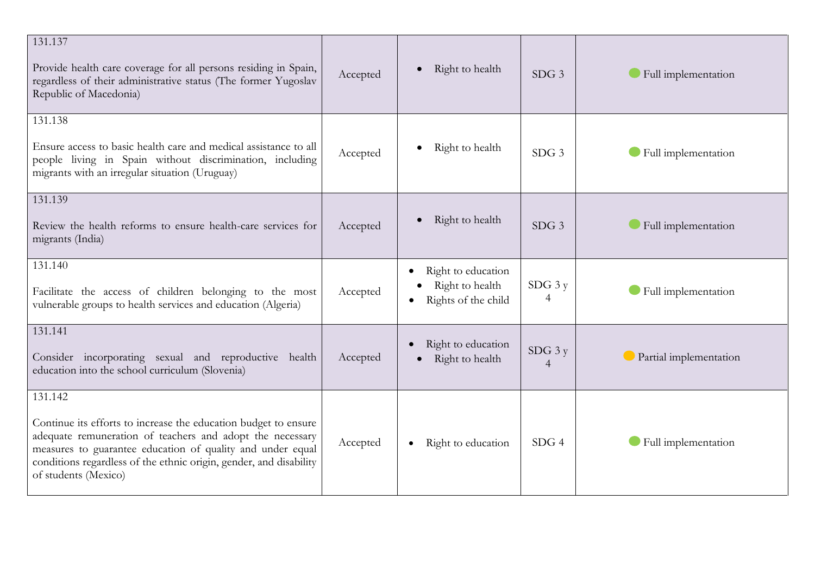| 131.137<br>Provide health care coverage for all persons residing in Spain,<br>regardless of their administrative status (The former Yugoslav<br>Republic of Macedonia)                                                                                                                              | Accepted | Right to health<br>$\bullet$                                 | SDG <sub>3</sub>            | Full implementation    |
|-----------------------------------------------------------------------------------------------------------------------------------------------------------------------------------------------------------------------------------------------------------------------------------------------------|----------|--------------------------------------------------------------|-----------------------------|------------------------|
| 131.138<br>Ensure access to basic health care and medical assistance to all<br>people living in Spain without discrimination, including<br>migrants with an irregular situation (Uruguay)                                                                                                           | Accepted | Right to health<br>$\bullet$                                 | SDG <sub>3</sub>            | Full implementation    |
| 131.139<br>Review the health reforms to ensure health-care services for<br>migrants (India)                                                                                                                                                                                                         | Accepted | Right to health<br>$\bullet$                                 | SDG <sub>3</sub>            | Full implementation    |
| 131.140<br>Facilitate the access of children belonging to the most<br>vulnerable groups to health services and education (Algeria)                                                                                                                                                                  | Accepted | Right to education<br>Right to health<br>Rights of the child | $SDG$ 3 $y$                 | Full implementation    |
| 131.141<br>Consider incorporating sexual and reproductive health<br>education into the school curriculum (Slovenia)                                                                                                                                                                                 | Accepted | Right to education<br>Right to health<br>$\bullet$           | $SDG$ 3 y<br>$\overline{4}$ | Partial implementation |
| 131.142<br>Continue its efforts to increase the education budget to ensure<br>adequate remuneration of teachers and adopt the necessary<br>measures to guarantee education of quality and under equal<br>conditions regardless of the ethnic origin, gender, and disability<br>of students (Mexico) | Accepted | Right to education<br>$\bullet$                              | SDG <sub>4</sub>            | Full implementation    |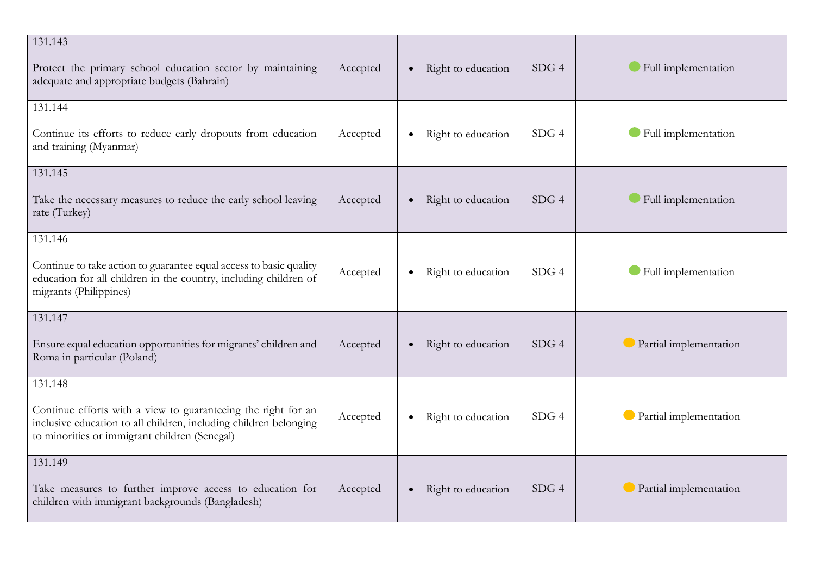| 131.143<br>Protect the primary school education sector by maintaining<br>adequate and appropriate budgets (Bahrain)                                                                            | Accepted | Right to education<br>$\bullet$ | SDG <sub>4</sub> | Full implementation    |
|------------------------------------------------------------------------------------------------------------------------------------------------------------------------------------------------|----------|---------------------------------|------------------|------------------------|
| 131.144<br>Continue its efforts to reduce early dropouts from education<br>and training (Myanmar)                                                                                              | Accepted | Right to education<br>$\bullet$ | SDG4             | Full implementation    |
| 131.145<br>Take the necessary measures to reduce the early school leaving<br>rate (Turkey)                                                                                                     | Accepted | Right to education<br>$\bullet$ | SDG4             | Full implementation    |
| 131.146<br>Continue to take action to guarantee equal access to basic quality<br>education for all children in the country, including children of<br>migrants (Philippines)                    | Accepted | Right to education<br>$\bullet$ | SDG4             | Full implementation    |
| 131.147<br>Ensure equal education opportunities for migrants' children and<br>Roma in particular (Poland)                                                                                      | Accepted | Right to education<br>$\bullet$ | SDG4             | Partial implementation |
| 131.148<br>Continue efforts with a view to guaranteeing the right for an<br>inclusive education to all children, including children belonging<br>to minorities or immigrant children (Senegal) | Accepted | Right to education<br>$\bullet$ | SDG4             | Partial implementation |
| 131.149<br>Take measures to further improve access to education for<br>children with immigrant backgrounds (Bangladesh)                                                                        | Accepted | Right to education<br>$\bullet$ | SDG <sub>4</sub> | Partial implementation |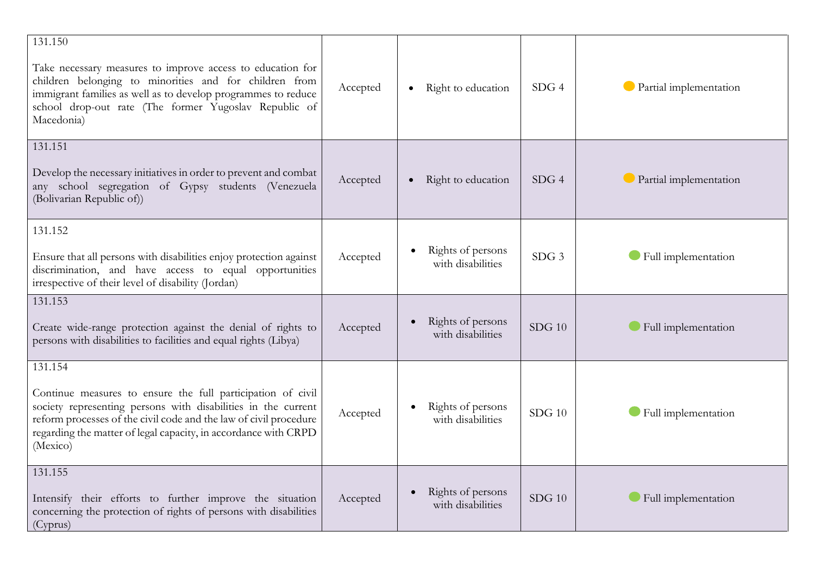| 131.150<br>Take necessary measures to improve access to education for<br>children belonging to minorities and for children from<br>immigrant families as well as to develop programmes to reduce<br>school drop-out rate (The former Yugoslav Republic of<br>Macedonia)                     | Accepted | Right to education<br>$\bullet$        | SDG <sub>4</sub> | Partial implementation        |
|---------------------------------------------------------------------------------------------------------------------------------------------------------------------------------------------------------------------------------------------------------------------------------------------|----------|----------------------------------------|------------------|-------------------------------|
| 131.151<br>Develop the necessary initiatives in order to prevent and combat<br>any school segregation of Gypsy students (Venezuela<br>(Bolivarian Republic of))                                                                                                                             | Accepted | Right to education<br>$\bullet$        | SDG <sub>4</sub> | $\Box$ Partial implementation |
| 131.152<br>Ensure that all persons with disabilities enjoy protection against<br>discrimination, and have access to equal opportunities<br>irrespective of their level of disability (Jordan)                                                                                               | Accepted | Rights of persons<br>with disabilities | SDG <sub>3</sub> | Full implementation           |
| 131.153<br>Create wide-range protection against the denial of rights to<br>persons with disabilities to facilities and equal rights (Libya)                                                                                                                                                 | Accepted | Rights of persons<br>with disabilities | $SDG$ 10         | Full implementation           |
| 131.154<br>Continue measures to ensure the full participation of civil<br>society representing persons with disabilities in the current<br>reform processes of the civil code and the law of civil procedure<br>regarding the matter of legal capacity, in accordance with CRPD<br>(Mexico) | Accepted | Rights of persons<br>with disabilities | $SDG$ 10         | Full implementation           |
| 131.155<br>Intensify their efforts to further improve the situation<br>concerning the protection of rights of persons with disabilities<br>(Cyprus)                                                                                                                                         | Accepted | Rights of persons<br>with disabilities | $SDG$ 10         | Full implementation           |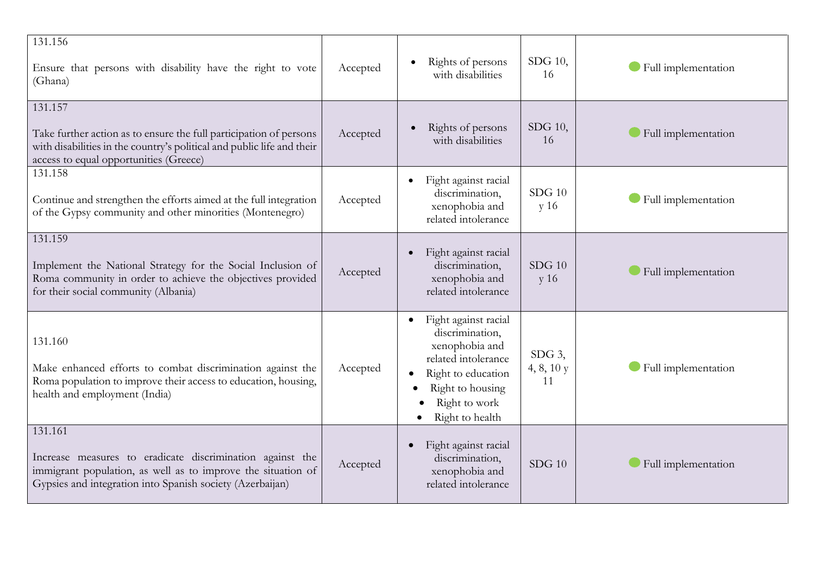| 131.156<br>Ensure that persons with disability have the right to vote<br>(Ghana)                                                                                                                  | Accepted | Rights of persons<br>$\bullet$<br>with disabilities                                                                                                                         | SDG 10,<br>16                | Full implementation |
|---------------------------------------------------------------------------------------------------------------------------------------------------------------------------------------------------|----------|-----------------------------------------------------------------------------------------------------------------------------------------------------------------------------|------------------------------|---------------------|
| 131.157<br>Take further action as to ensure the full participation of persons<br>with disabilities in the country's political and public life and their<br>access to equal opportunities (Greece) | Accepted | Rights of persons<br>with disabilities                                                                                                                                      | SDG 10,<br>16                | Full implementation |
| 131.158<br>Continue and strengthen the efforts aimed at the full integration<br>of the Gypsy community and other minorities (Montenegro)                                                          | Accepted | Fight against racial<br>$\bullet$<br>discrimination,<br>xenophobia and<br>related intolerance                                                                               | $SDG$ 10<br>y 16             | Full implementation |
| 131.159<br>Implement the National Strategy for the Social Inclusion of<br>Roma community in order to achieve the objectives provided<br>for their social community (Albania)                      | Accepted | Fight against racial<br>discrimination,<br>xenophobia and<br>related intolerance                                                                                            | $SDG$ 10<br>y 16             | Full implementation |
| 131.160<br>Make enhanced efforts to combat discrimination against the<br>Roma population to improve their access to education, housing,<br>health and employment (India)                          | Accepted | Fight against racial<br>$\bullet$<br>discrimination,<br>xenophobia and<br>related intolerance<br>Right to education<br>Right to housing<br>Right to work<br>Right to health | $SDG$ 3,<br>4, 8, 10 y<br>11 | Full implementation |
| 131.161<br>Increase measures to eradicate discrimination against the<br>immigrant population, as well as to improve the situation of<br>Gypsies and integration into Spanish society (Azerbaijan) | Accepted | Fight against racial<br>$\bullet$<br>discrimination,<br>xenophobia and<br>related intolerance                                                                               | $SDG$ 10                     | Full implementation |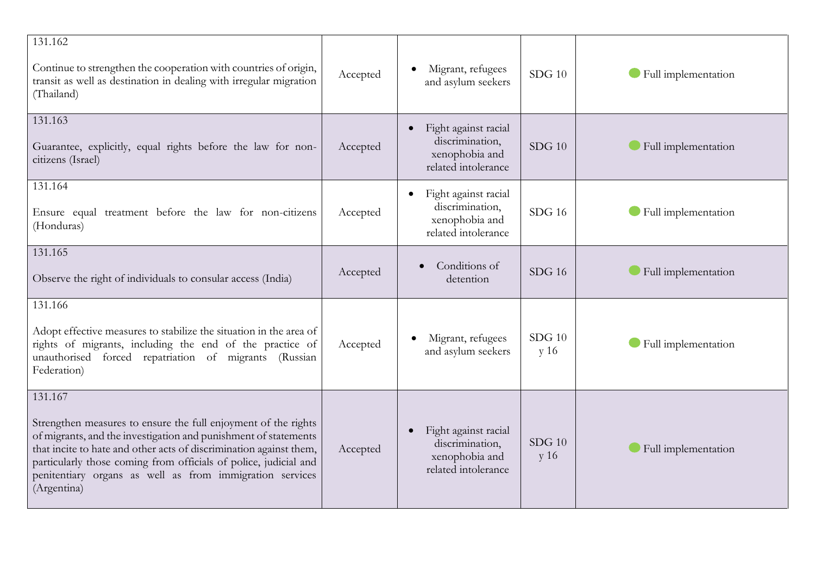| 131.162<br>Continue to strengthen the cooperation with countries of origin,<br>transit as well as destination in dealing with irregular migration<br>(Thailand)                                                                                                                                                                                                   | Accepted | Migrant, refugees<br>and asylum seekers                                          | $SDG$ 10         | Full implementation |
|-------------------------------------------------------------------------------------------------------------------------------------------------------------------------------------------------------------------------------------------------------------------------------------------------------------------------------------------------------------------|----------|----------------------------------------------------------------------------------|------------------|---------------------|
| 131.163<br>Guarantee, explicitly, equal rights before the law for non-<br>citizens (Israel)                                                                                                                                                                                                                                                                       | Accepted | Fight against racial<br>discrimination,<br>xenophobia and<br>related intolerance | $SDG$ 10         | Full implementation |
| 131.164<br>Ensure equal treatment before the law for non-citizens<br>(Honduras)                                                                                                                                                                                                                                                                                   | Accepted | Fight against racial<br>discrimination,<br>xenophobia and<br>related intolerance | SDG16            | Full implementation |
| 131.165<br>Observe the right of individuals to consular access (India)                                                                                                                                                                                                                                                                                            | Accepted | Conditions of<br>detention                                                       | $SDG$ 16         | Full implementation |
| 131.166<br>Adopt effective measures to stabilize the situation in the area of<br>rights of migrants, including the end of the practice of<br>unauthorised forced repatriation of migrants<br>(Russian<br>Federation)                                                                                                                                              | Accepted | Migrant, refugees<br>and asylum seekers                                          | $SDG$ 10<br>y 16 | Full implementation |
| 131.167<br>Strengthen measures to ensure the full enjoyment of the rights<br>of migrants, and the investigation and punishment of statements<br>that incite to hate and other acts of discrimination against them,<br>particularly those coming from officials of police, judicial and<br>penitentiary organs as well as from immigration services<br>(Argentina) | Accepted | Fight against racial<br>discrimination,<br>xenophobia and<br>related intolerance | $SDG$ 10<br>y 16 | Full implementation |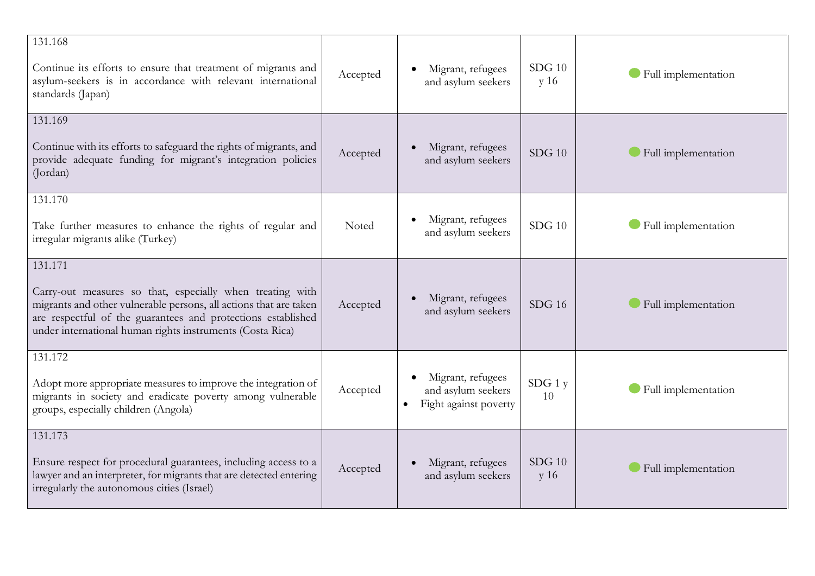| 131.168<br>Continue its efforts to ensure that treatment of migrants and<br>asylum-seekers is in accordance with relevant international<br>standards (Japan)                                                                                                           | Accepted | Migrant, refugees<br>and asylum seekers                          | $SDG$ 10<br>y 16 | Full implementation |
|------------------------------------------------------------------------------------------------------------------------------------------------------------------------------------------------------------------------------------------------------------------------|----------|------------------------------------------------------------------|------------------|---------------------|
| 131.169<br>Continue with its efforts to safeguard the rights of migrants, and<br>provide adequate funding for migrant's integration policies<br>(Jordan)                                                                                                               | Accepted | Migrant, refugees<br>and asylum seekers                          | $SDG$ 10         | Full implementation |
| 131.170<br>Take further measures to enhance the rights of regular and<br>irregular migrants alike (Turkey)                                                                                                                                                             | Noted    | Migrant, refugees<br>and asylum seekers                          | $SDG$ 10         | Full implementation |
| 131.171<br>Carry-out measures so that, especially when treating with<br>migrants and other vulnerable persons, all actions that are taken<br>are respectful of the guarantees and protections established<br>under international human rights instruments (Costa Rica) | Accepted | Migrant, refugees<br>and asylum seekers                          | $SDG$ 16         | Full implementation |
| 131.172<br>Adopt more appropriate measures to improve the integration of<br>migrants in society and eradicate poverty among vulnerable<br>groups, especially children (Angola)                                                                                         | Accepted | Migrant, refugees<br>and asylum seekers<br>Fight against poverty | SDG1y<br>10      | Full implementation |
| 131.173<br>Ensure respect for procedural guarantees, including access to a<br>lawyer and an interpreter, for migrants that are detected entering<br>irregularly the autonomous cities (Israel)                                                                         | Accepted | Migrant, refugees<br>and asylum seekers                          | $SDG$ 10<br>y 16 | Full implementation |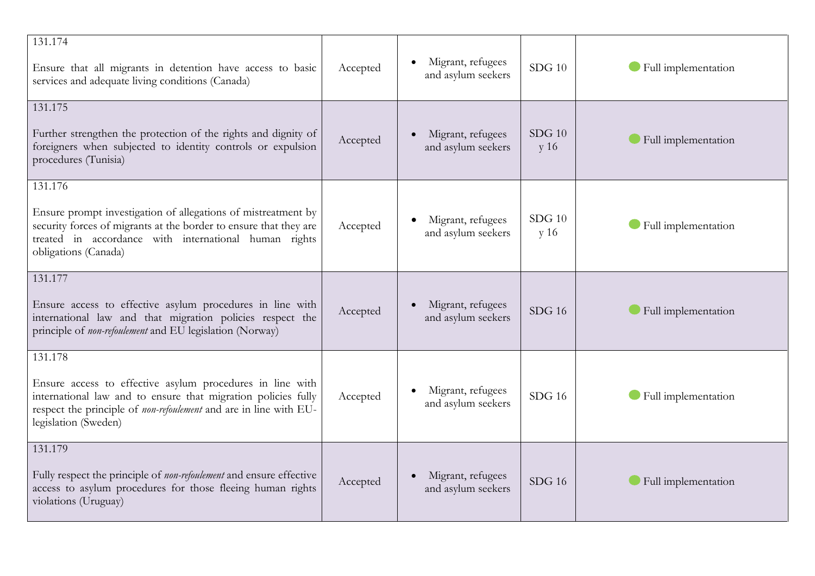| 131.174<br>Ensure that all migrants in detention have access to basic<br>services and adequate living conditions (Canada)                                                                                                          | Accepted | Migrant, refugees<br>and asylum seekers | $SDG$ 10         | • Full implementation |
|------------------------------------------------------------------------------------------------------------------------------------------------------------------------------------------------------------------------------------|----------|-----------------------------------------|------------------|-----------------------|
| 131.175<br>Further strengthen the protection of the rights and dignity of<br>foreigners when subjected to identity controls or expulsion<br>procedures (Tunisia)                                                                   | Accepted | Migrant, refugees<br>and asylum seekers | $SDG$ 10<br>y 16 | Full implementation   |
| 131.176<br>Ensure prompt investigation of allegations of mistreatment by<br>security forces of migrants at the border to ensure that they are<br>treated in accordance with international human rights<br>obligations (Canada)     | Accepted | Migrant, refugees<br>and asylum seekers | $SDG$ 10<br>y 16 | • Full implementation |
| 131.177<br>Ensure access to effective asylum procedures in line with<br>international law and that migration policies respect the<br>principle of non-refoulement and EU legislation (Norway)                                      | Accepted | Migrant, refugees<br>and asylum seekers | <b>SDG 16</b>    | Full implementation   |
| 131.178<br>Ensure access to effective asylum procedures in line with<br>international law and to ensure that migration policies fully<br>respect the principle of non-refoulement and are in line with EU-<br>legislation (Sweden) | Accepted | Migrant, refugees<br>and asylum seekers | $SDG$ 16         | Full implementation   |
| 131.179<br>Fully respect the principle of non-refoulement and ensure effective<br>access to asylum procedures for those fleeing human rights<br>violations (Uruguay)                                                               | Accepted | Migrant, refugees<br>and asylum seekers | $SDG$ 16         | • Full implementation |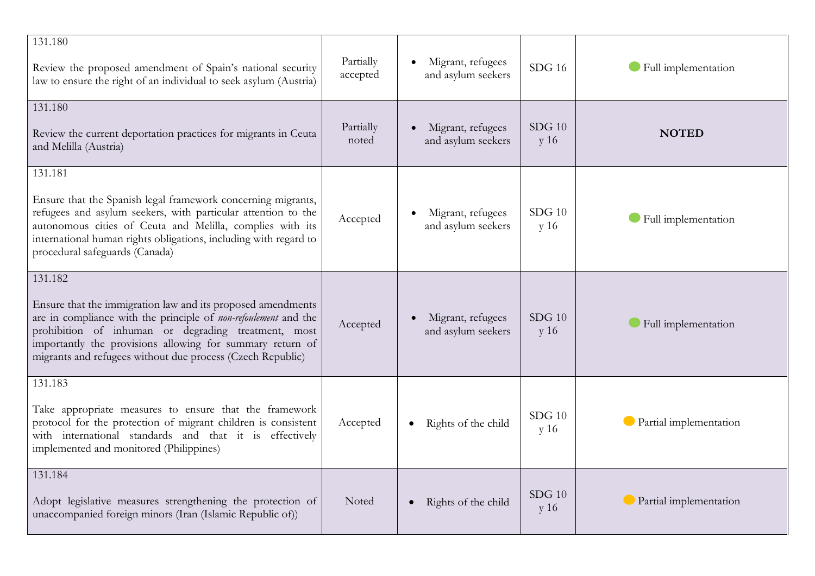| 131.180<br>Review the proposed amendment of Spain's national security<br>law to ensure the right of an individual to seek asylum (Austria)                                                                                                                                                                                  | Partially<br>accepted | Migrant, refugees<br>and asylum seekers | <b>SDG 16</b>    | Full implementation    |
|-----------------------------------------------------------------------------------------------------------------------------------------------------------------------------------------------------------------------------------------------------------------------------------------------------------------------------|-----------------------|-----------------------------------------|------------------|------------------------|
| 131.180<br>Review the current deportation practices for migrants in Ceuta<br>and Melilla (Austria)                                                                                                                                                                                                                          | Partially<br>noted    | Migrant, refugees<br>and asylum seekers | $SDG$ 10<br>y 16 | <b>NOTED</b>           |
| 131.181<br>Ensure that the Spanish legal framework concerning migrants,<br>refugees and asylum seekers, with particular attention to the<br>autonomous cities of Ceuta and Melilla, complies with its<br>international human rights obligations, including with regard to<br>procedural safeguards (Canada)                 | Accepted              | Migrant, refugees<br>and asylum seekers | $SDG$ 10<br>y 16 | Full implementation    |
| 131.182<br>Ensure that the immigration law and its proposed amendments<br>are in compliance with the principle of non-refoulement and the<br>prohibition of inhuman or degrading treatment, most<br>importantly the provisions allowing for summary return of<br>migrants and refugees without due process (Czech Republic) | Accepted              | Migrant, refugees<br>and asylum seekers | $SDG$ 10<br>y 16 | Full implementation    |
| 131.183<br>Take appropriate measures to ensure that the framework<br>protocol for the protection of migrant children is consistent<br>with international standards and that it is effectively<br>implemented and monitored (Philippines)                                                                                    | Accepted              | Rights of the child<br>$\bullet$        | $SDG$ 10<br>y 16 | Partial implementation |
| 131.184<br>Adopt legislative measures strengthening the protection of<br>unaccompanied foreign minors (Iran (Islamic Republic of))                                                                                                                                                                                          | Noted                 | Rights of the child                     | $SDG$ 10<br>y 16 | Partial implementation |